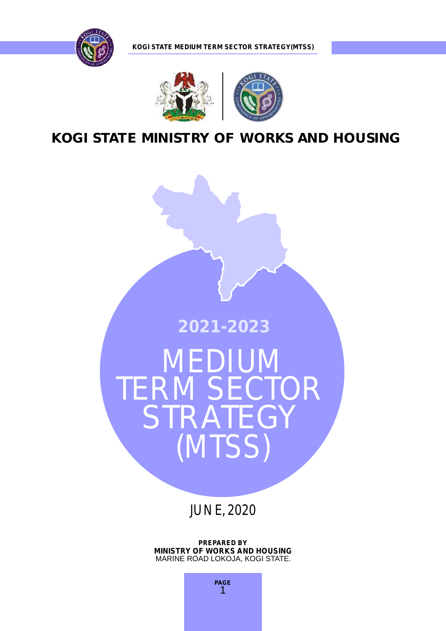





## **KOGI STATE MINISTRY OF WORKS AND HOUSING**



JUNE, 2020

**PREPARED BY MINISTRY OF WORKS AND HOUSING**  MARINE ROAD LOKOJA, KOGI STATE.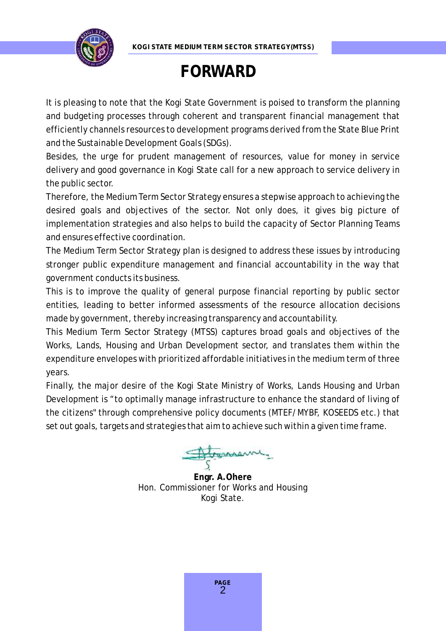

## **FORWARD**

It is pleasing to note that the Kogi State Government is poised to transform the planning and budgeting processes through coherent and transparent financial management that efficiently channels resources to development programs derived from the State Blue Print and the Sustainable Development Goals (SDGs).

Besides, the urge for prudent management of resources, value for money in service delivery and good governance in Kogi State call for a new approach to service delivery in the public sector.

Therefore, the Medium Term Sector Strategy ensures a stepwise approach to achieving the desired goals and objectives of the sector. Not only does, it gives big picture of implementation strategies and also helps to build the capacity of Sector Planning Teams and ensures effective coordination.

The Medium Term Sector Strategy plan is designed to address these issues by introducing stronger public expenditure management and financial accountability in the way that government conducts its business.

This is to improve the quality of general purpose financial reporting by public sector entities, leading to better informed assessments of the resource allocation decisions made by government, thereby increasing transparency and accountability.

This Medium Term Sector Strategy (MTSS) captures broad goals and objectives of the Works, Lands, Housing and Urban Development sector, and translates them within the expenditure envelopes with prioritized affordable initiatives in the medium term of three years.

Finally, the major desire of the Kogi State Ministry of Works, Lands Housing and Urban Development is "to optimally manage infrastructure to enhance the standard of living of the citizens'' through comprehensive policy documents (MTEF/MYBF, KOSEEDS etc.) that set out goals, targets and strategies that aim to achieve such within a given time frame.

trassame.

**Engr. A.Ohere** Hon. Commissioner for Works and Housing Kogi State.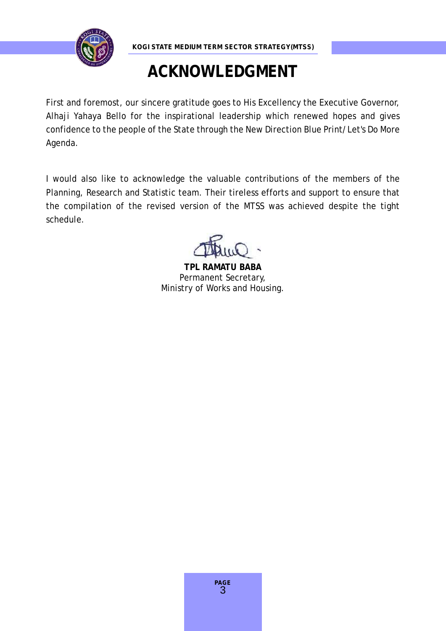

## **ACKNOWLEDGMENT**

First and foremost, our sincere gratitude goes to His Excellency the Executive Governor, Alhaji Yahaya Bello for the inspirational leadership which renewed hopes and gives confidence to the people of the State through the New Direction Blue Print/Let's Do More Agenda.

I would also like to acknowledge the valuable contributions of the members of the Planning, Research and Statistic team. Their tireless efforts and support to ensure that the compilation of the revised version of the MTSS was achieved despite the tight schedule.

**TPL RAMATU BABA** Permanent Secretary, Ministry of Works and Housing.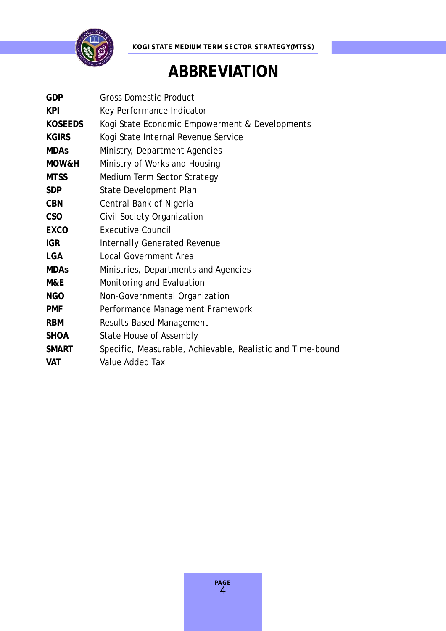

## **ABBREVIATION**

| GDP            | <b>Gross Domestic Product</b>                              |
|----------------|------------------------------------------------------------|
| <b>KPI</b>     | Key Performance Indicator                                  |
| <b>KOSEEDS</b> | Kogi State Economic Empowerment & Developments             |
| <b>KGIRS</b>   | Kogi State Internal Revenue Service                        |
| <b>MDAs</b>    | Ministry, Department Agencies                              |
| MOW&H          | Ministry of Works and Housing                              |
| <b>MTSS</b>    | Medium Term Sector Strategy                                |
| <b>SDP</b>     | State Development Plan                                     |
| <b>CBN</b>     | Central Bank of Nigeria                                    |
| <b>CSO</b>     | Civil Society Organization                                 |
| <b>EXCO</b>    | <b>Executive Council</b>                                   |
| <b>IGR</b>     | <b>Internally Generated Revenue</b>                        |
| <b>LGA</b>     | <b>Local Government Area</b>                               |
| <b>MDAs</b>    | Ministries, Departments and Agencies                       |
| M&E            | Monitoring and Evaluation                                  |
| <b>NGO</b>     | Non-Governmental Organization                              |
| <b>PMF</b>     | Performance Management Framework                           |
| <b>RBM</b>     | <b>Results-Based Management</b>                            |
| <b>SHOA</b>    | State House of Assembly                                    |
| <b>SMART</b>   | Specific, Measurable, Achievable, Realistic and Time-bound |

**VAT** Value Added Tax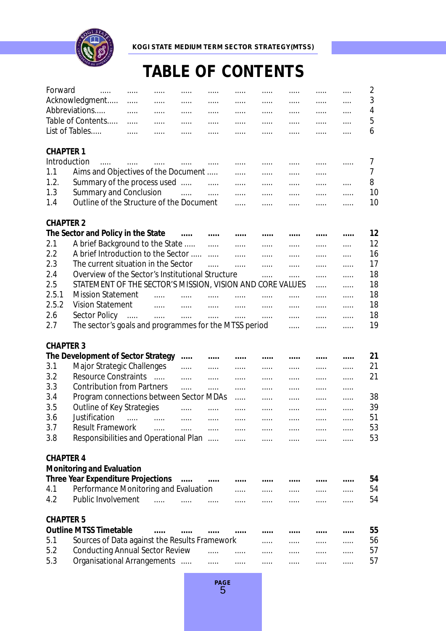

# **TABLE OF CONTENTS**

| Forward          |                                    | .<br>.                                                    | .                                                                                                                                                                                                                                                                                                                                                                                                                                                   | .        | .          | . | . | . | . | 2  |
|------------------|------------------------------------|-----------------------------------------------------------|-----------------------------------------------------------------------------------------------------------------------------------------------------------------------------------------------------------------------------------------------------------------------------------------------------------------------------------------------------------------------------------------------------------------------------------------------------|----------|------------|---|---|---|---|----|
|                  | Acknowledgment                     | .<br>.                                                    | .                                                                                                                                                                                                                                                                                                                                                                                                                                                   | .        | .          | . | . | . | . | 3  |
|                  | Abbreviations                      | .<br>.                                                    | .                                                                                                                                                                                                                                                                                                                                                                                                                                                   | .        | .          | . | . | . | . | 4  |
|                  | Table of Contents                  | .<br>.                                                    | .                                                                                                                                                                                                                                                                                                                                                                                                                                                   | .        | .          | . | . | . | . | 5  |
|                  | List of Tables                     | .<br>.                                                    | .                                                                                                                                                                                                                                                                                                                                                                                                                                                   | .        | .          | . | . | . | . | 6  |
| <b>CHAPTER 1</b> |                                    |                                                           |                                                                                                                                                                                                                                                                                                                                                                                                                                                     |          |            |   |   |   |   |    |
| Introduction     | .                                  | $\cdots$<br>$\ldots$                                      | $\cdots$                                                                                                                                                                                                                                                                                                                                                                                                                                            | $\cdots$ | .          | . | . | . | . | 7  |
| 1.1              |                                    | Aims and Objectives of the Document                       |                                                                                                                                                                                                                                                                                                                                                                                                                                                     |          | .          | . | . | . |   | 7  |
| 1.2.             |                                    | Summary of the process used                               |                                                                                                                                                                                                                                                                                                                                                                                                                                                     | $\cdots$ | .          | . | . | . | . | 8  |
| 1.3              | <b>Summary and Conclusion</b>      |                                                           | $\ldots$                                                                                                                                                                                                                                                                                                                                                                                                                                            | .        | .          | . | . | . | . | 10 |
| 1.4              |                                    | Outline of the Structure of the Document                  |                                                                                                                                                                                                                                                                                                                                                                                                                                                     |          | .          | . | . | . | . | 10 |
|                  |                                    |                                                           |                                                                                                                                                                                                                                                                                                                                                                                                                                                     |          |            |   |   |   |   |    |
| <b>CHAPTER 2</b> |                                    |                                                           |                                                                                                                                                                                                                                                                                                                                                                                                                                                     |          |            |   |   |   |   |    |
|                  | The Sector and Policy in the State |                                                           |                                                                                                                                                                                                                                                                                                                                                                                                                                                     | $\cdots$ | .          | . | . | . | . | 12 |
| 2.1              |                                    | A brief Background to the State                           |                                                                                                                                                                                                                                                                                                                                                                                                                                                     | .        | .          | . | . | . | . | 12 |
| 2.2              |                                    | A brief Introduction to the Sector                        |                                                                                                                                                                                                                                                                                                                                                                                                                                                     | $\cdots$ | .          | . | . | . | . | 16 |
| 2.3              |                                    | The current situation in the Sector                       |                                                                                                                                                                                                                                                                                                                                                                                                                                                     | $\cdots$ | .          | . | . | . | . | 17 |
| 2.4              |                                    | Overview of the Sector's Institutional Structure          |                                                                                                                                                                                                                                                                                                                                                                                                                                                     |          |            | . | . | . | . | 18 |
| 2.5              |                                    | STATEMENT OF THE SECTOR'S MISSION, VISION AND CORE VALUES |                                                                                                                                                                                                                                                                                                                                                                                                                                                     |          |            |   |   | . | . | 18 |
| 2.5.1            | <b>Mission Statement</b>           | $\cdots$                                                  | .                                                                                                                                                                                                                                                                                                                                                                                                                                                   | .        | .          | . | . | . | . | 18 |
| 2.5.2            | <b>Vision Statement</b>            | .                                                         | .                                                                                                                                                                                                                                                                                                                                                                                                                                                   | .        | .          | . | . | . | . | 18 |
| 2.6              | Sector Policy                      | $\ldots$<br>$\cdots$                                      | .                                                                                                                                                                                                                                                                                                                                                                                                                                                   | .        | .          | . | . | . | . | 18 |
| 2.7              |                                    | The sector's goals and programmes for the MTSS period     |                                                                                                                                                                                                                                                                                                                                                                                                                                                     |          |            |   | . | . | . | 19 |
|                  |                                    |                                                           |                                                                                                                                                                                                                                                                                                                                                                                                                                                     |          |            |   |   |   |   |    |
| <b>CHAPTER 3</b> |                                    |                                                           |                                                                                                                                                                                                                                                                                                                                                                                                                                                     |          |            |   |   |   |   |    |
|                  | The Development of Sector Strategy |                                                           | .                                                                                                                                                                                                                                                                                                                                                                                                                                                   | .        | .          | . | . | . | . | 21 |
| 3.1              | Major Strategic Challenges         |                                                           | .                                                                                                                                                                                                                                                                                                                                                                                                                                                   | .        | .          | . | . | . | . | 21 |
| 3.2              | <b>Resource Constraints</b>        | $\mathbf{1}$                                              | .                                                                                                                                                                                                                                                                                                                                                                                                                                                   | .        | .          | . | . | . | . | 21 |
| 3.3              | <b>Contribution from Partners</b>  |                                                           | .                                                                                                                                                                                                                                                                                                                                                                                                                                                   | .        | .          | . | . | . | . |    |
| 3.4              |                                    | Program connections between Sector MDAs                   |                                                                                                                                                                                                                                                                                                                                                                                                                                                     |          | .          | . | . | . | . | 38 |
| 3.5              | Outline of Key Strategies          |                                                           | .                                                                                                                                                                                                                                                                                                                                                                                                                                                   | .        | .          | . | . | . | . | 39 |
| 3.6              | Justification                      | $\cdots \cdots \cdots \cdots \cdots$                      | .                                                                                                                                                                                                                                                                                                                                                                                                                                                   | .        | .          | . | . | . | . | 51 |
| 3.7              | <b>Result Framework</b>            |                                                           | $\ldots$                                                                                                                                                                                                                                                                                                                                                                                                                                            | .        |            |   |   |   |   | 53 |
| 3.8              |                                    | Responsibilities and Operational Plan                     |                                                                                                                                                                                                                                                                                                                                                                                                                                                     |          | .          |   |   |   |   | 53 |
| <b>CHAPTER 4</b> |                                    |                                                           |                                                                                                                                                                                                                                                                                                                                                                                                                                                     |          |            |   |   |   |   |    |
|                  | Monitoring and Evaluation          |                                                           |                                                                                                                                                                                                                                                                                                                                                                                                                                                     |          |            |   |   |   |   |    |
|                  | Three Year Expenditure Projections |                                                           | $\label{eq:1} \begin{array}{ll} \mathbf{1}_{\mathbf{1}_{\mathbf{1}_{\mathbf{1}}},\mathbf{1}_{\mathbf{1}_{\mathbf{1}}},\mathbf{1}_{\mathbf{1}_{\mathbf{1}}},\mathbf{1}_{\mathbf{1}_{\mathbf{1}}},\mathbf{1}_{\mathbf{1}_{\mathbf{1}}},\mathbf{1}_{\mathbf{1}_{\mathbf{1}}},\mathbf{1}_{\mathbf{1}_{\mathbf{1}}},\mathbf{1}_{\mathbf{1}_{\mathbf{1}}},\mathbf{1}_{\mathbf{1}_{\mathbf{1}}},\mathbf{1}_{\mathbf{1}_{\mathbf{1}}},\mathbf{1}_{\mathbf{$ |          | $\ldots$ . |   |   |   |   | 54 |
| 4.1              |                                    | Performance Monitoring and Evaluation                     |                                                                                                                                                                                                                                                                                                                                                                                                                                                     |          |            |   |   |   |   | 54 |
| 4.2              | Public Involvement                 | .                                                         |                                                                                                                                                                                                                                                                                                                                                                                                                                                     |          |            |   | . | . | . | 54 |
|                  |                                    |                                                           |                                                                                                                                                                                                                                                                                                                                                                                                                                                     |          |            |   |   |   |   |    |
| <b>CHAPTER 5</b> |                                    |                                                           |                                                                                                                                                                                                                                                                                                                                                                                                                                                     |          |            |   |   |   |   |    |
|                  | <b>Outline MTSS Timetable</b>      |                                                           |                                                                                                                                                                                                                                                                                                                                                                                                                                                     | .        |            |   |   |   |   | 55 |
| 5.1              |                                    | Sources of Data against the Results Framework             |                                                                                                                                                                                                                                                                                                                                                                                                                                                     |          |            | . | . |   | . | 56 |
| 5.2              |                                    | <b>Conducting Annual Sector Review</b>                    |                                                                                                                                                                                                                                                                                                                                                                                                                                                     | .        | .          | . | . | . | . | 57 |
| 5.3              |                                    | Organisational Arrangements                               |                                                                                                                                                                                                                                                                                                                                                                                                                                                     | $\cdots$ | .          | . | . | . | . | 57 |

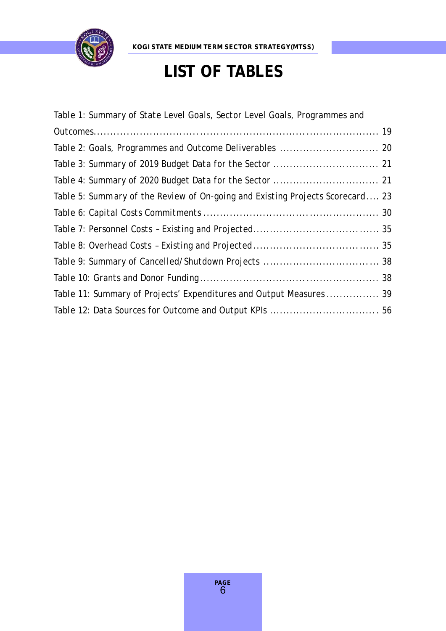

## **LIST OF TABLES**

| Table 1: Summary of State Level Goals, Sector Level Goals, Programmes and     |
|-------------------------------------------------------------------------------|
|                                                                               |
|                                                                               |
|                                                                               |
|                                                                               |
| Table 5: Summary of the Review of On-going and Existing Projects Scorecard 23 |
|                                                                               |
|                                                                               |
|                                                                               |
|                                                                               |
|                                                                               |
| Table 11: Summary of Projects' Expenditures and Output Measures 39            |
|                                                                               |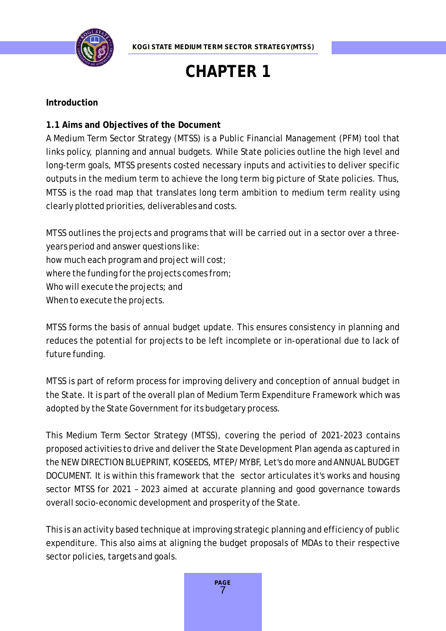



## **CHAPTER 1**

## **Introduction**

**1.1 Aims and Objectives of the Document**

A Medium Term Sector Strategy (MTSS) is a Public Financial Management (PFM) tool that links policy, planning and annual budgets. While State policies outline the high level and long-term goals, MTSS presents costed necessary inputs and activities to deliver specific outputs in the medium term to achieve the long term big picture of State policies. Thus, MTSS is the road map that translates long term ambition to medium term reality using clearly plotted priorities, deliverables and costs.

MTSS outlines the projects and programs that will be carried out in a sector over a threeyears period and answer questions like: how much each program and project will cost; where the funding for the projects comes from; Who will execute the projects; and When to execute the projects.

MTSS forms the basis of annual budget update. This ensures consistency in planning and reduces the potential for projects to be left incomplete or in-operational due to lack of future funding.

MTSS is part of reform process for improving delivery and conception of annual budget in the State. It is part of the overall plan of Medium Term Expenditure Framework which was adopted by the State Government for its budgetary process.

This Medium Term Sector Strategy (MTSS), covering the period of 2021-2023 contains proposed activities to drive and deliver the State Development Plan agenda as captured in the NEW DIRECTION BLUEPRINT, KOSEEDS, MTEP/MYBF, Let's do more and ANNUAL BUDGET DOCUMENT. It is within this framework that the sector articulates it's works and housing sector MTSS for 2021 – 2023 aimed at accurate planning and good governance towards overall socio-economic development and prosperity of the State.

This is an activity based technique at improving strategic planning and efficiency of public expenditure. This also aims at aligning the budget proposals of MDAs to their respective sector policies, targets and goals.

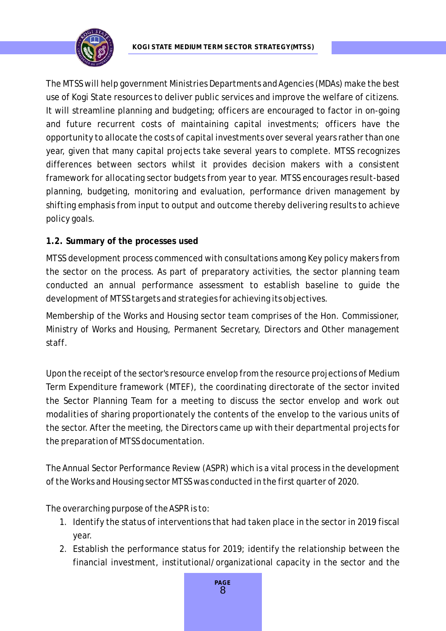

The MTSS will help government Ministries Departments and Agencies (MDAs) make the best use of Kogi State resources to deliver public services and improve the welfare of citizens. It will streamline planning and budgeting; officers are encouraged to factor in on-going and future recurrent costs of maintaining capital investments; officers have the opportunity to allocate the costs of capital investments over several years rather than one year, given that many capital projects take several years to complete. MTSS recognizes differences between sectors whilst it provides decision makers with a consistent framework for allocating sector budgets from year to year. MTSS encourages result-based planning, budgeting, monitoring and evaluation, performance driven management by shifting emphasis from input to output and outcome thereby delivering results to achieve policy goals.

## **1.2. Summary of the processes used**

MTSS development process commenced with consultations among Key policy makers from the sector on the process. As part of preparatory activities, the sector planning team conducted an annual performance assessment to establish baseline to guide the development of MTSS targets and strategies for achieving its objectives.

Membership of the Works and Housing sector team comprises of the Hon. Commissioner, Ministry of Works and Housing, Permanent Secretary, Directors and Other management staff.

Upon the receipt of the sector's resource envelop from the resource projections of Medium Term Expenditure framework (MTEF), the coordinating directorate of the sector invited the Sector Planning Team for a meeting to discuss the sector envelop and work out modalities of sharing proportionately the contents of the envelop to the various units of the sector. After the meeting, the Directors came up with their departmental projects for the preparation of MTSS documentation.

The Annual Sector Performance Review (ASPR) which is a vital process in the development of the Works and Housing sector MTSS was conducted in the first quarter of 2020.

The overarching purpose of the ASPR is to:

- 1. Identify the status of interventions that had taken place in the sector in 2019 fiscal year.
- 2. Establish the performance status for 2019; identify the relationship between the financial investment, institutional/organizational capacity in the sector and the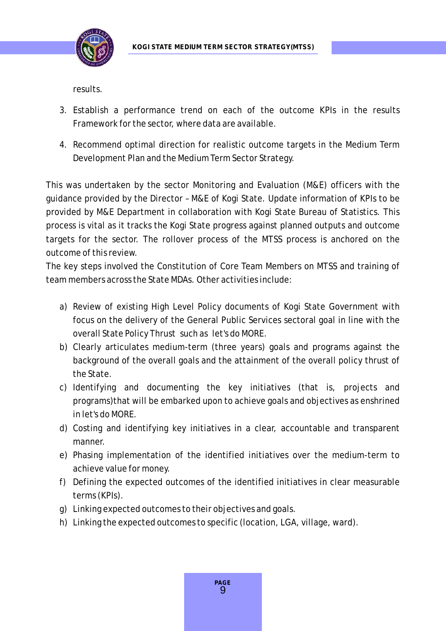

results.

- 3. Establish a performance trend on each of the outcome KPIs in the results Framework for the sector, where data are available.
- 4. Recommend optimal direction for realistic outcome targets in the Medium Term Development Plan and the Medium Term Sector Strategy.

This was undertaken by the sector Monitoring and Evaluation (M&E) officers with the guidance provided by the Director – M&E of Kogi State. Update information of KPIs to be provided by M&E Department in collaboration with Kogi State Bureau of Statistics. This process is vital as it tracks the Kogi State progress against planned outputs and outcome targets for the sector. The rollover process of the MTSS process is anchored on the outcome of this review.

The key steps involved the Constitution of Core Team Members on MTSS and training of team members across the State MDAs. Other activities include:

- a) Review of existing High Level Policy documents of Kogi State Government with focus on the delivery of the General Public Services sectoral goal in line with the overall State Policy Thrust such as let's do MORE.
- b) Clearly articulates medium-term (three years) goals and programs against the background of the overall goals and the attainment of the overall policy thrust of the State.
- c) Identifying and documenting the key initiatives (that is, projects and programs)that will be embarked upon to achieve goals and objectives as enshrined in let's do MORE.
- d) Costing and identifying key initiatives in a clear, accountable and transparent manner.
- e) Phasing implementation of the identified initiatives over the medium-term to achieve value for money.
- f) Defining the expected outcomes of the identified initiatives in clear measurable terms (KPIs).
- g) Linking expected outcomes to their objectives and goals.
- h) Linking the expected outcomes to specific (location, LGA, village, ward).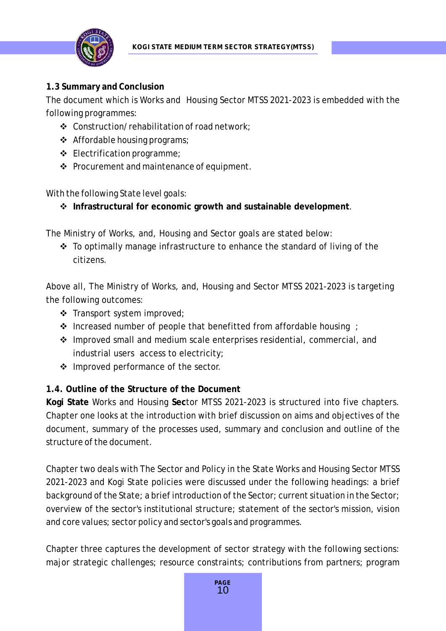

**1.3 Summary and Conclusion**

The document which is Works and Housing Sector MTSS 2021-2023 is embedded with the following programmes:

- v Construction/rehabilitation of road network;
- ❖ Affordable housing programs;
- v Electrification programme;
- ❖ Procurement and maintenance of equipment.

With the following State level goals:

v **Infrastructural for economic growth and sustainable development**.

The Ministry of Works, and, Housing and Sector goals are stated below:

v To optimally manage infrastructure to enhance the standard of living of the citizens.

Above all, The Ministry of Works, and, Housing and Sector MTSS 2021-2023 is targeting the following outcomes:

- v Transport system improved;
- ◆ Increased number of people that benefitted from affordable housing ;
- ❖ Improved small and medium scale enterprises residential, commercial, and industrial users access to electricity;
- ❖ Improved performance of the sector.

### **1.4. Outline of the Structure of the Document**

**Kogi State** Works and Housing **Sec**tor MTSS 2021-2023 is structured into five chapters. Chapter one looks at the introduction with brief discussion on aims and objectives of the document, summary of the processes used, summary and conclusion and outline of the structure of the document.

Chapter two deals with The Sector and Policy in the State Works and Housing Sector MTSS 2021-2023 and Kogi State policies were discussed under the following headings: a brief background of the State; a brief introduction of the Sector; current situation in the Sector; overview of the sector's institutional structure; statement of the sector's mission, vision and core values; sector policy and sector's goals and programmes.

Chapter three captures the development of sector strategy with the following sections: major strategic challenges; resource constraints; contributions from partners; program

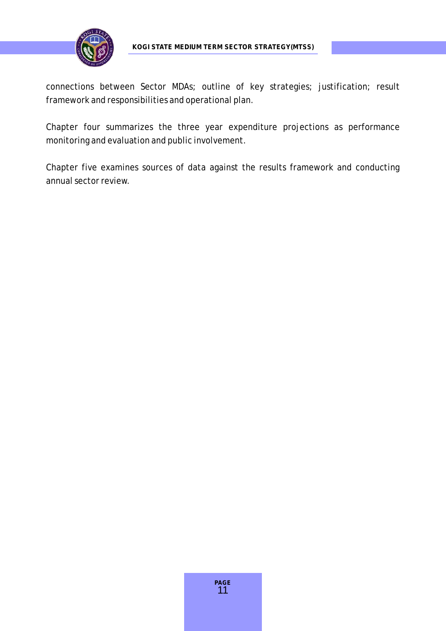

connections between Sector MDAs; outline of key strategies; justification; result framework and responsibilities and operational plan.

Chapter four summarizes the three year expenditure projections as performance monitoring and evaluation and public involvement.

Chapter five examines sources of data against the results framework and conducting annual sector review.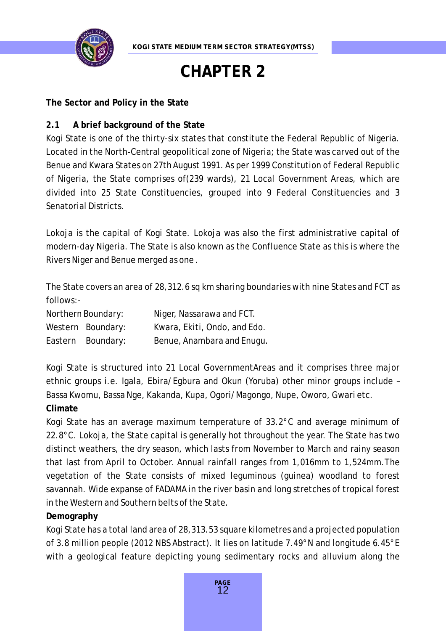

## **CHAPTER 2**

**The Sector and Policy in the State**

**2.1 A brief background of the State**

Kogi State is one of the thirty-six states that constitute the Federal Republic of Nigeria. Located in the North-Central geopolitical zone of Nigeria; the State was carved out of the Benue and Kwara States on 27th August 1991. As per 1999 Constitution of Federal Republic of Nigeria, the State comprises of(239 wards), 21 Local Government Areas, which are divided into 25 State Constituencies, grouped into 9 Federal Constituencies and 3 Senatorial Districts.

Lokoja is the capital of Kogi State. Lokoja was also the first administrative capital of modern-day Nigeria. The State is also known as the Confluence State as this is where the Rivers Niger and Benue merged as one .

The State covers an area of 28,312.6 sq km sharing boundaries with nine States and FCT as follows:-

| Northern Boundary: | Niger, Nassarawa and FCT.    |  |  |  |  |  |
|--------------------|------------------------------|--|--|--|--|--|
| Western Boundary:  | Kwara, Ekiti, Ondo, and Edo. |  |  |  |  |  |
| Eastern Boundary:  | Benue, Anambara and Enugu.   |  |  |  |  |  |

Kogi State is structured into 21 Local GovernmentAreas and it comprises three major ethnic groups i.e. Igala, Ebira/Egbura and Okun (Yoruba) other minor groups include – Bassa Kwomu, Bassa Nge, Kakanda, Kupa, Ogori/Magongo, Nupe, Oworo, Gwari etc. **Climate**

Kogi State has an average maximum temperature of 33.2°C and average minimum of 22.8°C. Lokoja, the State capital is generally hot throughout the year. The State has two distinct weathers, the dry season, which lasts from November to March and rainy season that last from April to October. Annual rainfall ranges from 1,016mm to 1,524mm.The vegetation of the State consists of mixed leguminous (guinea) woodland to forest savannah. Wide expanse of FADAMA in the river basin and long stretches of tropical forest in the Western and Southern belts of the State.

**Demography**

Kogi State has a total land area of 28,313.53 square kilometres and a projected population of 3.8 million people (2012 NBS Abstract). It lies on latitude 7.49°N and longitude 6.45°E with a geological feature depicting young sedimentary rocks and alluvium along the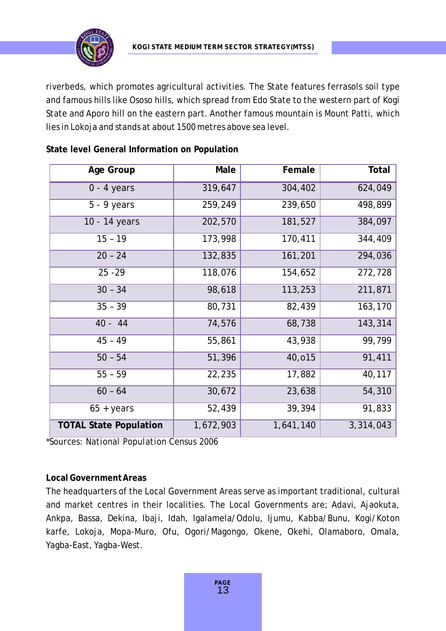riverbeds, which promotes agricultural activities. The State features ferrasols soil type and famous hills like Ososo hills, which spread from Edo State to the western part of Kogi State and Aporo hill on the eastern part. Another famous mountain is Mount Patti, which lies in Lokoja and stands at about 1500 metres above sea level.

| Age Group                     | Male      | Female    | Total     |
|-------------------------------|-----------|-----------|-----------|
| $0 - 4$ years                 | 319,647   | 304,402   | 624,049   |
| $5 - 9$ years                 | 259,249   | 239,650   | 498,899   |
| 10 - 14 years                 | 202,570   | 181,527   | 384,097   |
| $15 - 19$                     | 173,998   | 170,411   | 344,409   |
| $20 - 24$                     | 132,835   | 161,201   | 294,036   |
| $25 - 29$                     | 118,076   | 154,652   | 272,728   |
| $30 - 34$                     | 98,618    | 113,253   | 211,871   |
| $35 - 39$                     | 80,731    | 82,439    | 163,170   |
| $40 - 44$                     | 74,576    | 68,738    | 143,314   |
| $45 - 49$                     | 55,861    | 43,938    | 99,799    |
| $50 - 54$                     | 51,396    | 40,015    | 91,411    |
| $55 - 59$                     | 22,235    | 17,882    | 40,117    |
| $60 - 64$                     | 30,672    | 23,638    | 54,310    |
| $65 + years$                  | 52,439    | 39,394    | 91,833    |
| <b>TOTAL State Population</b> | 1,672,903 | 1,641,140 | 3,314,043 |

**State level General Information on Population**

*\*Sources: National Population Census 2006*

## **Local Government Areas**

The headquarters of the Local Government Areas serve as important traditional, cultural and market centres in their localities. The Local Governments are; Adavi, Ajaokuta, Ankpa, Bassa, Dekina, Ibaji, Idah, Igalamela/Odolu, Ijumu, Kabba/Bunu, Kogi/Koton karfe, Lokoja, Mopa-Muro, Ofu, Ogori/Magongo, Okene, Okehi, Olamaboro, Omala, Yagba-East, Yagba-West.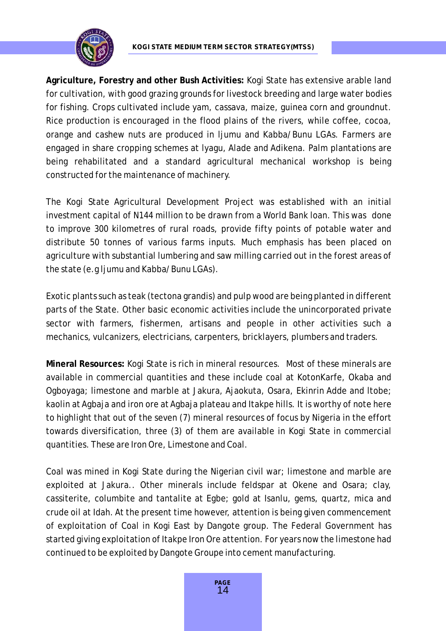

**Agriculture, Forestry and other Bush Activities:** Kogi State has extensive arable land for cultivation, with good grazing grounds for livestock breeding and large water bodies for fishing. Crops cultivated include yam, cassava, maize, guinea corn and groundnut. Rice production is encouraged in the flood plains of the rivers, while coffee, cocoa, orange and cashew nuts are produced in ljumu and Kabba/Bunu LGAs. Farmers are engaged in share cropping schemes at lyagu, Alade and Adikena. Palm plantations are being rehabilitated and a standard agricultural mechanical workshop is being constructed for the maintenance of machinery.

The Kogi State Agricultural Development Project was established with an initial investment capital of N144 million to be drawn from a World Bank loan. This was done to improve 300 kilometres of rural roads, provide fifty points of potable water and distribute 50 tonnes of various farms inputs. Much emphasis has been placed on agriculture with substantial lumbering and saw milling carried out in the forest areas of the state (e.g ljumu and Kabba/Bunu LGAs).

Exotic plants such as teak (tectona grandis) and pulp wood are being planted in different parts of the State. Other basic economic activities include the unincorporated private sector with farmers, fishermen, artisans and people in other activities such a mechanics, vulcanizers, electricians, carpenters, bricklayers, plumbers and traders.

**Mineral Resources:** Kogi State is rich in mineral resources. Most of these minerals are available in commercial quantities and these include coal at KotonKarfe, Okaba and Ogboyaga; limestone and marble at Jakura, Ajaokuta, Osara, Ekinrin Adde and ltobe; kaolin at Agbaja and iron ore at Agbaja plateau and Itakpe hills. It is worthy of note here to highlight that out of the seven (7) mineral resources of focus by Nigeria in the effort towards diversification, three (3) of them are available in Kogi State in commercial quantities. These are Iron Ore, Limestone and Coal.

Coal was mined in Kogi State during the Nigerian civil war; limestone and marble are exploited at Jakura.. Other minerals include feldspar at Okene and Osara; clay, cassiterite, columbite and tantalite at Egbe; gold at Isanlu, gems, quartz, mica and crude oil at Idah. At the present time however, attention is being given commencement of exploitation of Coal in Kogi East by Dangote group. The Federal Government has started giving exploitation of Itakpe Iron Ore attention. For years now the limestone had continued to be exploited by Dangote Groupe into cement manufacturing.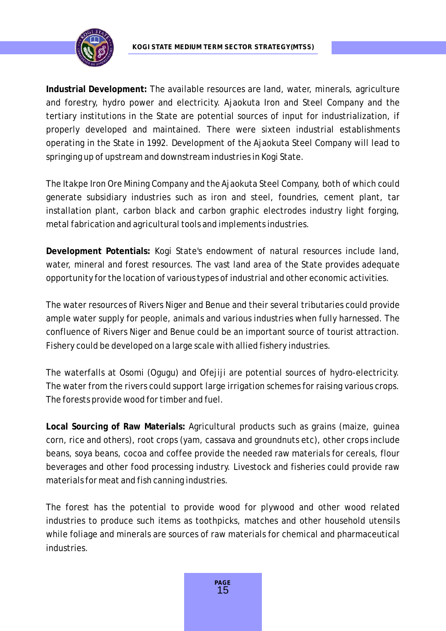

**Industrial Development:** The available resources are land, water, minerals, agriculture and forestry, hydro power and electricity. Ajaokuta Iron and Steel Company and the tertiary institutions in the State are potential sources of input for industrialization, if properly developed and maintained. There were sixteen industrial establishments operating in the State in 1992. Development of the Ajaokuta Steel Company will lead to springing up of upstream and downstream industries in Kogi State.

The Itakpe Iron Ore Mining Company and the Ajaokuta Steel Company, both of which could generate subsidiary industries such as iron and steel, foundries, cement plant, tar installation plant, carbon black and carbon graphic electrodes industry light forging, metal fabrication and agricultural tools and implements industries.

**Development Potentials:** Kogi State's endowment of natural resources include land, water, mineral and forest resources. The vast land area of the State provides adequate opportunity for the location of various types of industrial and other economic activities.

The water resources of Rivers Niger and Benue and their several tributaries could provide ample water supply for people, animals and various industries when fully harnessed. The confluence of Rivers Niger and Benue could be an important source of tourist attraction. Fishery could be developed on a large scale with allied fishery industries.

The waterfalls at Osomi (Ogugu) and Ofejiji are potential sources of hydro-electricity. The water from the rivers could support large irrigation schemes for raising various crops. The forests provide wood for timber and fuel.

**Local Sourcing of Raw Materials:** Agricultural products such as grains (maize, guinea corn, rice and others), root crops (yam, cassava and groundnuts etc), other crops include beans, soya beans, cocoa and coffee provide the needed raw materials for cereals, flour beverages and other food processing industry. Livestock and fisheries could provide raw materials for meat and fish canning industries.

The forest has the potential to provide wood for plywood and other wood related industries to produce such items as toothpicks, matches and other household utensils while foliage and minerals are sources of raw materials for chemical and pharmaceutical industries.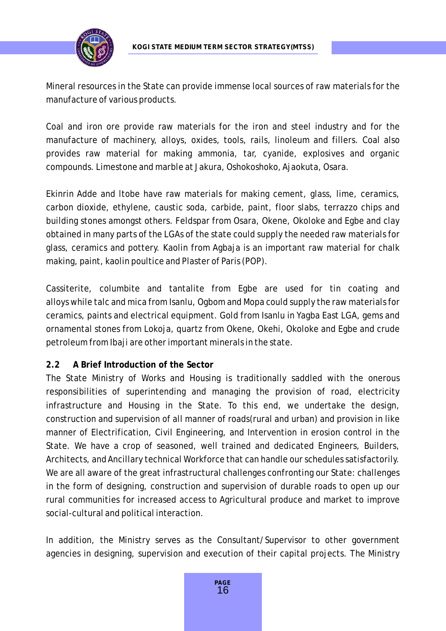

Mineral resources in the State can provide immense local sources of raw materials for the manufacture of various products.

Coal and iron ore provide raw materials for the iron and steel industry and for the manufacture of machinery, alloys, oxides, tools, rails, linoleum and fillers. Coal also provides raw material for making ammonia, tar, cyanide, explosives and organic compounds. Limestone and marble at Jakura, Oshokoshoko, Ajaokuta, Osara.

Ekinrin Adde and ltobe have raw materials for making cement, glass, lime, ceramics, carbon dioxide, ethylene, caustic soda, carbide, paint, floor slabs, terrazzo chips and building stones amongst others. Feldspar from Osara, Okene, Okoloke and Egbe and clay obtained in many parts of the LGAs of the state could supply the needed raw materials for glass, ceramics and pottery. Kaolin from Agbaja is an important raw material for chalk making, paint, kaolin poultice and Plaster of Paris (POP).

Cassiterite, columbite and tantalite from Egbe are used for tin coating and alloys while talc and mica from Isanlu, Ogbom and Mopa could supply the raw materials for ceramics, paints and electrical equipment. Gold from Isanlu in Yagba East LGA, gems and ornamental stones from Lokoja, quartz from Okene, Okehi, Okoloke and Egbe and crude petroleum from Ibaji are other important minerals in the state.

## **2.2 A Brief Introduction of the Sector**

The State Ministry of Works and Housing is traditionally saddled with the onerous responsibilities of superintending and managing the provision of road, electricity infrastructure and Housing in the State. To this end, we undertake the design, construction and supervision of all manner of roads(rural and urban) and provision in like manner of Electrification, Civil Engineering, and Intervention in erosion control in the State. We have a crop of seasoned, well trained and dedicated Engineers, Builders, Architects, and Ancillary technical Workforce that can handle our schedules satisfactorily. We are all aware of the great infrastructural challenges confronting our State: challenges in the form of designing, construction and supervision of durable roads to open up our rural communities for increased access to Agricultural produce and market to improve social-cultural and political interaction.

In addition, the Ministry serves as the Consultant/Supervisor to other government agencies in designing, supervision and execution of their capital projects. The Ministry

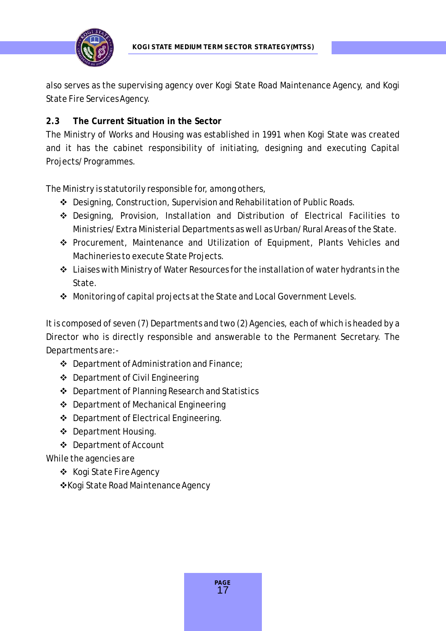

also serves as the supervising agency over Kogi State Road Maintenance Agency, and Kogi State Fire Services Agency.

## **2.3 The Current Situation in the Sector**

The Ministry of Works and Housing was established in 1991 when Kogi State was created and it has the cabinet responsibility of initiating, designing and executing Capital Projects/Programmes.

The Ministry is statutorily responsible for, among others,

- v Designing, Construction, Supervision and Rehabilitation of Public Roads.
- v Designing, Provision, Installation and Distribution of Electrical Facilities to Ministries/Extra Ministerial Departments as well as Urban/Rural Areas of the State.
- ◆ Procurement, Maintenance and Utilization of Equipment, Plants Vehicles and Machineries to execute State Projects.
- v Liaises with Ministry of Water Resources for the installation of water hydrants in the State.
- v Monitoring of capital projects at the State and Local Government Levels.

It is composed of seven (7) Departments and two (2) Agencies, each of which is headed by a Director who is directly responsible and answerable to the Permanent Secretary. The Departments are:-

- v Department of Administration and Finance;
- ❖ Department of Civil Engineering
- v Department of Planning Research and Statistics
- ❖ Department of Mechanical Engineering
- ❖ Department of Electrical Engineering.
- ❖ Department Housing.
- v Department of Account

While the agencies are

❖ Kogi State Fire Agency

v Kogi State Road Maintenance Agency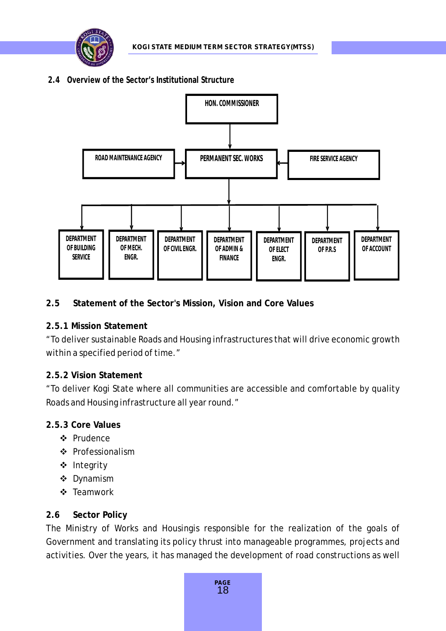

**2.4 Overview of the Sector's Institutional Structure** .



## **2.5 Statement of the Sector's Mission, Vision and Core Values**

## **2.5.1 Mission Statement**

"To deliver sustainable Roads and Housing infrastructures that will drive economic growth within a specified period of time."

## **2.5.2 Vision Statement**

"To deliver Kogi State where all communities are accessible and comfortable by quality Roads and Housing infrastructure all year round."

## **2.5.3 Core V alues**

- v Prudence
- ❖ Professionalism
- v Integrity
- ❖ Dynamism
- ❖ Teamwork

## **2.6 Sector Policy**

The Ministry of Works and Housingis responsible for the realization of the goals of Government and translating its policy thrust into manageable programmes, projects and activities. Over the years, it has managed the development of road constructions as well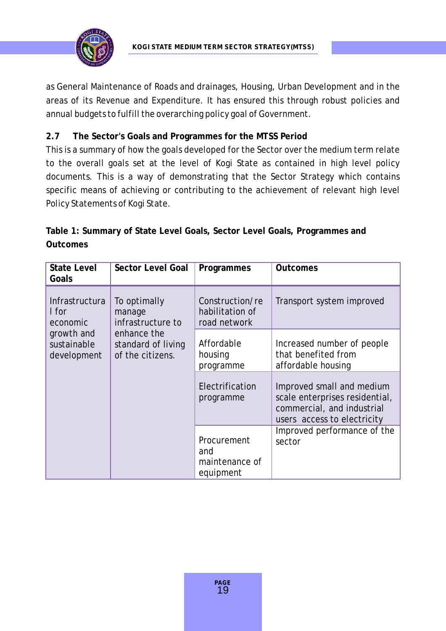

as General Maintenance of Roads and drainages, Housing, Urban Development and in the areas of its Revenue and Expenditure. It has ensured this through robust policies and annual budgets to fulfill the overarching policy goal of Government.

**2.7 The Sector's Goals and Programmes for the MTSS Period**

This is a summary of how the goals developed for the Sector over the medium term relate to the overall goals set at the level of Kogi State as contained in high level policy documents. This is a way of demonstrating that the Sector Strategy which contains specific means of achieving or contributing to the achievement of relevant high level Policy Statements of Kogi State.

**Table 1: Summary of State Level Goals, Sector Level Goals, Programmes and Outcomes**

| <b>State Level</b><br>Goals                                                                                                | Sector Level Goal                           | Programmes                                         | Outcomes                                                                                                                 |
|----------------------------------------------------------------------------------------------------------------------------|---------------------------------------------|----------------------------------------------------|--------------------------------------------------------------------------------------------------------------------------|
| Infrastructura<br>I for<br>economic                                                                                        | To optimally<br>manage<br>infrastructure to | Construction/re<br>habilitation of<br>road network | Transport system improved                                                                                                |
| growth and<br>enhance the<br>Affordable<br>sustainable<br>standard of living<br>of the citizens.<br>housing<br>development |                                             | programme                                          | Increased number of people<br>that benefited from<br>affordable housing                                                  |
|                                                                                                                            |                                             | Electrification<br>programme                       | Improved small and medium<br>scale enterprises residential,<br>commercial, and industrial<br>users access to electricity |
|                                                                                                                            |                                             | Procurement<br>and<br>maintenance of<br>equipment  | Improved performance of the<br>sector                                                                                    |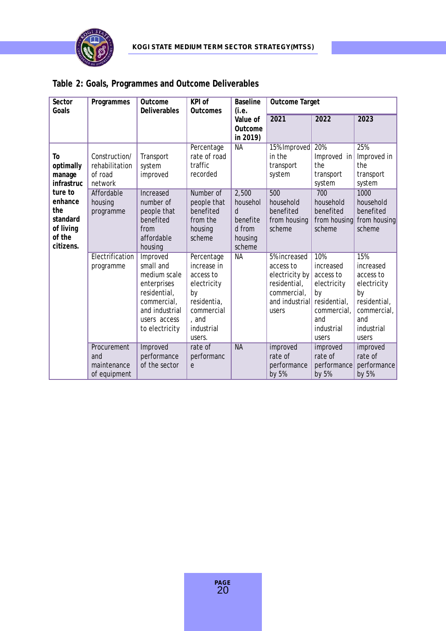

| Table 2: Goals, Programmes and Outcome Deliverables |  |  |
|-----------------------------------------------------|--|--|
|                                                     |  |  |

| Sector                                                                    | Programmes<br>Goals                                   |                                                                                                                                         | KPI of<br>Outcomes                                                                                                        | Baseline<br>(i.e.                                                 | Outcome Target                                                                                        |                                                                                                                 |                                                                                                                 |  |
|---------------------------------------------------------------------------|-------------------------------------------------------|-----------------------------------------------------------------------------------------------------------------------------------------|---------------------------------------------------------------------------------------------------------------------------|-------------------------------------------------------------------|-------------------------------------------------------------------------------------------------------|-----------------------------------------------------------------------------------------------------------------|-----------------------------------------------------------------------------------------------------------------|--|
|                                                                           |                                                       | Deliverables                                                                                                                            |                                                                                                                           | Value of<br>Outcome<br>in 2019)                                   | 2021                                                                                                  | 2022                                                                                                            | 2023                                                                                                            |  |
| To<br>optimally<br>manage<br>infrastruc                                   | Construction/<br>rehabilitation<br>of road<br>network | Transport<br>system<br>improved                                                                                                         | Percentage<br>rate of road<br>traffic<br>recorded                                                                         | <b>NA</b>                                                         | 15% Improved<br>in the<br>transport<br>system                                                         | 20%<br>Improved in<br>the<br>transport<br>system                                                                | 25%<br>Improved in<br>the<br>transport<br>system                                                                |  |
| ture to<br>enhance<br>the<br>standard<br>of living<br>of the<br>citizens. | Affordable<br>housing<br>programme                    | Increased<br>number of<br>people that<br>benefited<br>from<br>affordable<br>housing                                                     | Number of<br>people that<br>benefited<br>from the<br>housing<br>scheme                                                    | 2,500<br>househol<br>d<br>benefite<br>d from<br>housing<br>scheme | 500<br>household<br>benefited<br>from housing<br>scheme                                               | 700<br>household<br>benefited<br>from housing<br>scheme                                                         | 1000<br>household<br>benefited<br>from housing<br>scheme                                                        |  |
|                                                                           | Electrification<br>programme                          | Improved<br>small and<br>medium scale<br>enterprises<br>residential,<br>commercial,<br>and industrial<br>users access<br>to electricity | Percentage<br>increase in<br>access to<br>electricity<br>by<br>residentia,<br>commercial<br>, and<br>industrial<br>users. | <b>NA</b>                                                         | 5% increased<br>access to<br>electricity by<br>residential,<br>commercial,<br>and industrial<br>users | 10%<br>increased<br>access to<br>electricity<br>by<br>residential,<br>commercial,<br>and<br>industrial<br>users | 15%<br>increased<br>access to<br>electricity<br>by<br>residential,<br>commercial,<br>and<br>industrial<br>users |  |
|                                                                           | Procurement<br>and<br>maintenance<br>of equipment     | Improved<br>performance<br>of the sector                                                                                                | rate of<br>performanc<br>e                                                                                                | <b>NA</b>                                                         | improved<br>rate of<br>performance<br>by 5%                                                           | improved<br>rate of<br>performance<br>by 5%                                                                     | improved<br>rate of<br>performance<br>by 5%                                                                     |  |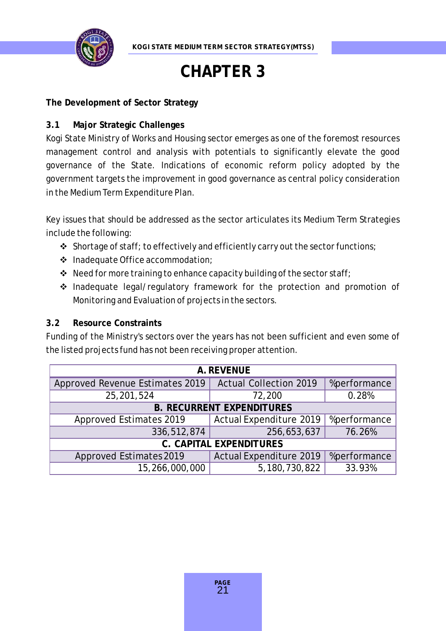

## **CHAPTER 3**

**The Development of Sector Strategy**

## **3.1 Major Strategic Challenges**

Kogi State Ministry of Works and Housing sector emerges as one of the foremost resources management control and analysis with potentials to significantly elevate the good governance of the State. Indications of economic reform policy adopted by the government targets the improvement in good governance as central policy consideration in the Medium Term Expenditure Plan.

Key issues that should be addressed as the sector articulates its Medium Term Strategies include the following:

- $\clubsuit$  Shortage of staff; to effectively and efficiently carry out the sector functions;
- $\clubsuit$  Inadequate Office accommodation;
- $\clubsuit$  Need for more training to enhance capacity building of the sector staff;
- v Inadequate legal/regulatory framework for the protection and promotion of Monitoring and Evaluation of projects in the sectors.

## **3.2 Resource Constraints**

Funding of the Ministry's sectors over the years has not been sufficient and even some of the listed projects fund has not been receiving proper attention.

| A. REVENUE                       |                                |              |  |  |  |  |  |
|----------------------------------|--------------------------------|--------------|--|--|--|--|--|
| Approved Revenue Estimates 2019  | <b>Actual Collection 2019</b>  | %performance |  |  |  |  |  |
| 25,201,524                       | 72,200                         | 0.28%        |  |  |  |  |  |
| <b>B. RECURRENT EXPENDITURES</b> |                                |              |  |  |  |  |  |
| Approved Estimates 2019          | <b>Actual Expenditure 2019</b> | %performance |  |  |  |  |  |
| 336,512,874                      | 256,653,637                    | 76.26%       |  |  |  |  |  |
|                                  | C. CAPITAL EXPENDITURES        |              |  |  |  |  |  |
| Approved Estimates 2019          | Actual Expenditure 2019        | %performance |  |  |  |  |  |
| 15,266,000,000                   | 5,180,730,822                  | 33.93%       |  |  |  |  |  |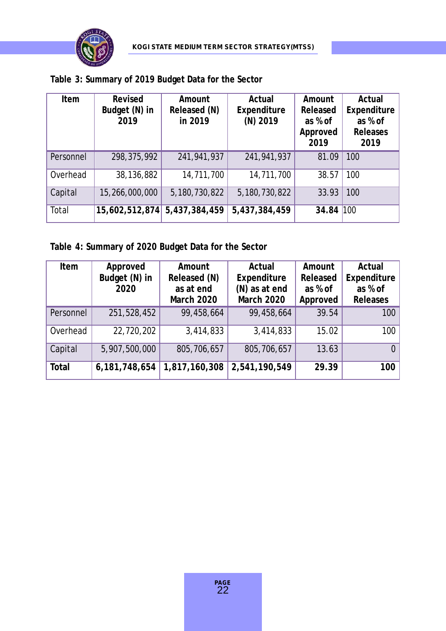

| Item      | Revised<br>Budget (N) in<br>2019 | Amount<br>Released (N)<br>in 2019 | Actual<br>Expenditure<br>$(N)$ 2019 | Amount<br>Released<br>as % of<br>Approved<br>2019 | Actual<br>Expenditure<br>as % of<br>Releases<br>2019 |
|-----------|----------------------------------|-----------------------------------|-------------------------------------|---------------------------------------------------|------------------------------------------------------|
| Personnel | 298, 375, 992                    | 241,941,937                       | 241,941,937                         | 81.09                                             | 100                                                  |
| Overhead  | 38, 136, 882                     | 14,711,700                        | 14,711,700                          | 38.57                                             | 100                                                  |
| Capital   | 15,266,000,000                   | 5,180,730,822                     | 5,180,730,822                       | 33.93                                             | 100                                                  |
| Total     | 15,602,512,874                   | 5,437,384,459                     | 5,437,384,459                       | 34.84                                             | 100                                                  |

**Table 3: Summary of 2019 Budget Data for the Sector**

**Table 4: Summary of 2020 Budget Data for the Sector**

| Item      | Approved<br>Amount |               | Actual            | Amount   | Actual         |
|-----------|--------------------|---------------|-------------------|----------|----------------|
|           | Budget (N) in      | Released (N)  | Expenditure       | Released | Expenditure    |
|           | 2020               | as at end     | (N) as at end     | as % of  | as % of        |
|           |                    | March 2020    | <b>March 2020</b> | Approved | Releases       |
| Personnel | 251,528,452        | 99,458,664    | 99,458,664        | 39.54    | 100            |
| Overhead  | 22,720,202         | 3,414,833     | 3,414,833         | 15.02    | 100            |
| Capital   | 5,907,500,000      | 805,706,657   | 805,706,657       | 13.63    | 0 <sup>1</sup> |
| Total     | 6,181,748,654      | 1,817,160,308 | 2,541,190,549     | 29.39    | 100            |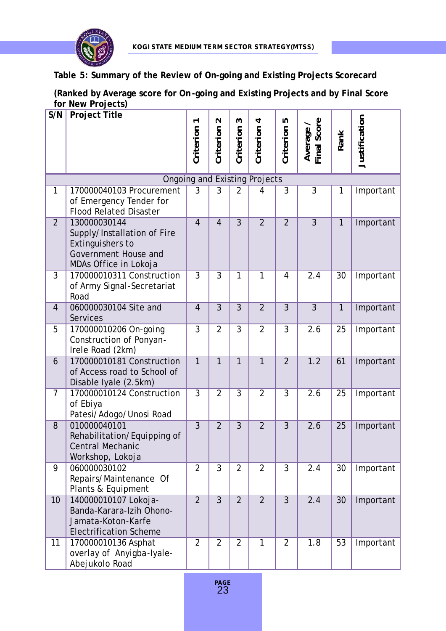

**Table 5: Summary of the Review of On-going and Existing Projects Scorecard**

**(Ranked by Average score for On-going and Existing Projects and by Final Score for New Projects)**

| S/N            | Project Title                                                                                                    | $\overline{\phantom{0}}$ | $\sim$         | S              | 4              | 5              |                          |              |               |  |  |
|----------------|------------------------------------------------------------------------------------------------------------------|--------------------------|----------------|----------------|----------------|----------------|--------------------------|--------------|---------------|--|--|
|                |                                                                                                                  | Criterion                | Criterion      | Criterion      | Criterion      | Criterion      | Average /<br>Final Score | Rank         | Justification |  |  |
|                | Ongoing and Existing Projects                                                                                    |                          |                |                |                |                |                          |              |               |  |  |
| $\mathbf{1}$   | 170000040103 Procurement<br>of Emergency Tender for<br><b>Flood Related Disaster</b>                             | 3                        | 3              | 2              | 4              | 3              | 3                        | 1            | Important     |  |  |
| $\overline{2}$ | 130000030144<br>Supply/Installation of Fire<br>Extinguishers to<br>Government House and<br>MDAs Office in Lokoja | $\overline{4}$           | $\overline{4}$ | 3              | $\overline{2}$ | $\overline{2}$ | $\overline{3}$           | $\mathbf{1}$ | Important     |  |  |
| $\overline{3}$ | 170000010311 Construction<br>of Army Signal-Secretariat<br>Road                                                  | 3                        | $\overline{3}$ | 1              | 1              | $\overline{4}$ | 2.4                      | 30           | Important     |  |  |
| $\overline{4}$ | 060000030104 Site and<br>Services                                                                                | $\overline{4}$           | $\overline{3}$ | $\overline{3}$ | $\overline{2}$ | $\mathfrak{Z}$ | $\overline{3}$           | 1            | Important     |  |  |
| 5              | 170000010206 On-going<br>Construction of Ponyan-<br>Irele Road (2km)                                             | $\overline{3}$           | $\overline{2}$ | $\overline{3}$ | $\overline{2}$ | $\overline{3}$ | 2.6                      | 25           | Important     |  |  |
| 6              | 170000010181 Construction<br>of Access road to School of<br>Disable Iyale (2.5km)                                | $\overline{1}$           | $\mathbf{1}$   | $\mathbf{1}$   | $\mathbf{1}$   | $\overline{2}$ | $\overline{1.2}$         | 61           | Important     |  |  |
| $\overline{7}$ | 170000010124 Construction<br>of Ebiya<br>Patesi/Adogo/Unosi Road                                                 | 3                        | $\overline{2}$ | 3              | $\overline{2}$ | 3              | 2.6                      | 25           | Important     |  |  |
| 8              | 010000040101<br>Rehabilitation/Equipping of<br>Central Mechanic<br>Workshop, Lokoja                              | 3                        | $\overline{2}$ | 3              | $\overline{2}$ | $\mathfrak{Z}$ | 2.6                      | 25           | Important     |  |  |
| 9              | 060000030102<br>Repairs/Maintenance Of<br>Plants & Equipment                                                     | $\overline{2}$           | 3              | $\overline{2}$ | $\overline{2}$ | 3              | 2.4                      | 30           | Important     |  |  |
| 10             | 140000010107 Lokoja-<br>Banda-Karara-Izih Ohono-<br>Jamata-Koton-Karfe<br><b>Electrification Scheme</b>          | $\overline{2}$           | 3              | $\overline{2}$ | $\overline{2}$ | $\mathfrak{Z}$ | 2.4                      | 30           | Important     |  |  |
| 11             | 170000010136 Asphat<br>overlay of Anyigba-Iyale-<br>Abejukolo Road                                               | $\overline{2}$           | $\overline{2}$ | $\overline{2}$ | $\mathbf{1}$   | 2              | 1.8                      | 53           | Important     |  |  |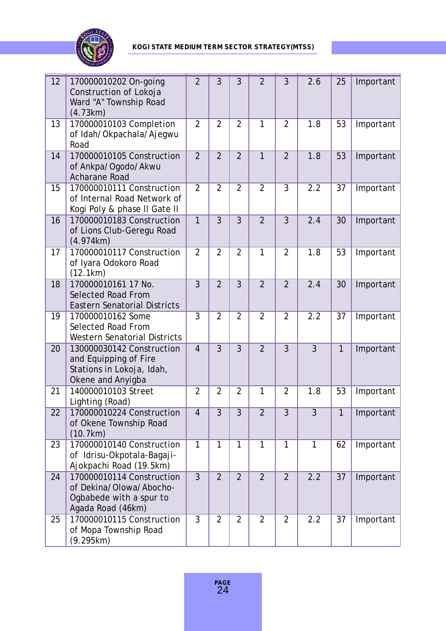

| $\overline{12}$ | 170000010202 On-going<br>Construction of Lokoja<br>Ward "A" Township Road<br>(4.73km)                | $\overline{2}$ | 3              | 3              | $\overline{2}$ | 3              | 2.6              | 25           | Important |
|-----------------|------------------------------------------------------------------------------------------------------|----------------|----------------|----------------|----------------|----------------|------------------|--------------|-----------|
| 13              | 170000010103 Completion<br>of Idah/Okpachala/Ajegwu<br>Road                                          | $\overline{2}$ | $\overline{2}$ | $\overline{2}$ | 1              | $\overline{2}$ | 1.8              | 53           | Important |
| 14              | 170000010105 Construction<br>of Ankpa/Ogodo/Akwu<br>Acharane Road                                    | $\overline{2}$ | $\overline{2}$ | $\overline{2}$ | $\mathbf{1}$   | $\overline{2}$ | $\overline{1.8}$ | 53           | Important |
| 15              | 170000010111 Construction<br>of Internal Road Network of<br>Kogi Poly & phase II Gate II             | $\overline{2}$ | $\overline{2}$ | $\overline{2}$ | $\overline{2}$ | 3              | 2.2              | 37           | Important |
| 16              | 170000010183 Construction<br>of Lions Club-Geregu Road<br>(4.974km)                                  | $\mathbf{1}$   | $\overline{3}$ | $\overline{3}$ | $\overline{2}$ | $\overline{3}$ | 2.4              | 30           | Important |
| 17              | 170000010117 Construction<br>of Iyara Odokoro Road<br>(12.1km)                                       | $\overline{2}$ | $\overline{2}$ | $\overline{2}$ | 1              | $\overline{2}$ | 1.8              | 53           | Important |
| 18              | 170000010161 17 No.<br>Selected Road From<br><b>Eastern Senatorial Districts</b>                     | $\overline{3}$ | $\overline{2}$ | $\overline{3}$ | $\overline{2}$ | $\overline{2}$ | 2.4              | 30           | Important |
| 19              | 170000010162 Some<br>Selected Road From<br><b>Western Senatorial Districts</b>                       | 3              | $\overline{2}$ | $\overline{2}$ | $\overline{2}$ | $\overline{2}$ | 2.2              | 37           | Important |
| 20              | 130000030142 Construction<br>and Equipping of Fire<br>Stations in Lokoja, Idah,<br>Okene and Anyigba | $\overline{4}$ | 3              | $\overline{3}$ | $\overline{2}$ | 3              | $\overline{3}$   | $\mathbf{1}$ | Important |
| 21              | 140000010103 Street<br>Lighting (Road)                                                               | $\overline{2}$ | $\overline{2}$ | $\overline{2}$ | 1              | $\overline{2}$ | 1.8              | 53           | Important |
| 22              | 170000010224 Construction<br>of Okene Township Road<br>(10.7km)                                      | 4              | 3              | 3              | $\overline{2}$ | 3              | 3                | 1            | Important |
| 23              | 170000010140 Construction<br>of Idrisu-Okpotala-Bagaji-<br>Ajokpachi Road (19.5km)                   | 1              | 1              | 1              | 1              | 1              | 1                | 62           | Important |
| 24              | 170000010114 Construction<br>of Dekina/Olowa/Abocho-<br>Ogbabede with a spur to<br>Agada Road (46km) | $\overline{3}$ | $\overline{2}$ | $\overline{2}$ | $\overline{2}$ | $\overline{2}$ | 2.2              | 37           | Important |
| 25              | 170000010115 Construction<br>of Mopa Township Road<br>(9.295km)                                      | 3              | $\overline{2}$ | $\overline{2}$ | $\overline{2}$ | $\overline{2}$ | 2.2              | 37           | Important |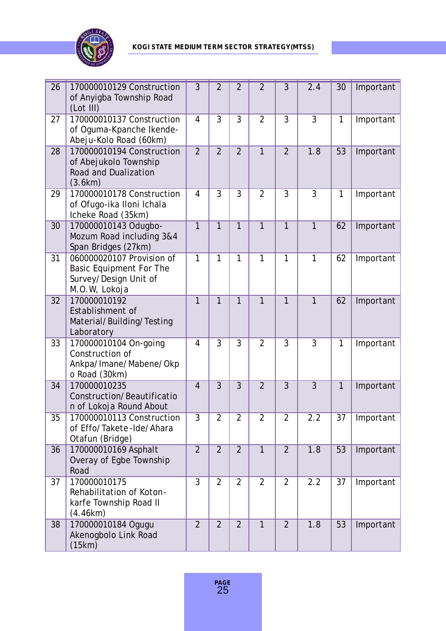

| 26 | 170000010129 Construction<br>of Anyigba Township Road<br>(Lot III)                                    | 3              | $\overline{2}$ | $\overline{2}$ | $\overline{2}$ | 3              | 2.4            | 30           | Important |
|----|-------------------------------------------------------------------------------------------------------|----------------|----------------|----------------|----------------|----------------|----------------|--------------|-----------|
| 27 | 170000010137 Construction<br>of Oguma-Kpanche Ikende-<br>Abeju-Kolo Road (60km)                       | $\overline{4}$ | 3              | 3              | $\overline{2}$ | 3              | 3              | 1            | Important |
| 28 | 170000010194 Construction<br>of Abejukolo Township<br>Road and Dualization<br>(3.6km)                 | $\overline{2}$ | $\overline{2}$ | $\overline{2}$ | 1              | $\overline{2}$ | 1.8            | 53           | Important |
| 29 | 170000010178 Construction<br>of Ofugo-ika Iloni Ichala<br>Icheke Road (35km)                          | $\overline{4}$ | 3              | 3              | $\overline{2}$ | $\mathfrak{Z}$ | $\overline{3}$ | $\mathbf{1}$ | Important |
| 30 | 170000010143 Odugbo-<br>Mozum Road including 3&4<br>Span Bridges (27km)                               | $\mathbf{1}$   | 1              | $\mathbf{1}$   | 1              | $\mathbf{1}$   | $\mathbf{1}$   | 62           | Important |
| 31 | 060000020107 Provision of<br><b>Basic Equipment For The</b><br>Survey/Design Unit of<br>M.O.W, Lokoja | 1              | 1              | 1              | 1              | $\mathbf{1}$   | 1              | 62           | Important |
| 32 | 170000010192<br>Establishment of<br>Material/Building/Testing<br>Laboratory                           | $\mathbf{1}$   | $\mathbf{1}$   | 1              | 1              | $\mathbf{1}$   | 1              | 62           | Important |
| 33 | 170000010104 On-going<br>Construction of<br>Ankpa/Imane/Mabene/Okp<br>o Road (30km)                   | 4              | 3              | 3              | $\overline{2}$ | 3              | 3              | $\mathbf{1}$ | Important |
| 34 | 170000010235<br>Construction/Beautificatio<br>n of Lokoja Round About                                 | $\overline{4}$ | 3              | 3              | $\overline{2}$ | 3              | $\overline{3}$ | $\mathbf{1}$ | Important |
| 35 | 170000010113 Construction<br>of Effo/Takete-Ide/Ahara<br>Otafun (Bridge)                              | 3              | 2              | 2              | 2              | 2              | 2.2            | 37           | Important |
| 36 | 170000010169 Asphalt<br>Overay of Egbe Township<br>Road                                               | $\overline{2}$ | $\overline{2}$ | $\overline{2}$ | $\mathbf{1}$   | $\overline{2}$ | 1.8            | 53           | Important |
| 37 | 170000010175<br>Rehabilitation of Koton-<br>karfe Township Road II<br>(4.46km)                        | 3              | $\overline{2}$ | $\overline{2}$ | $\overline{2}$ | $\overline{2}$ | 2.2            | 37           | Important |
| 38 | 170000010184 Ogugu<br>Akenogbolo Link Road<br>(15km)                                                  | $\overline{2}$ | $\overline{2}$ | $\overline{2}$ | 1              | $\overline{2}$ | 1.8            | 53           | Important |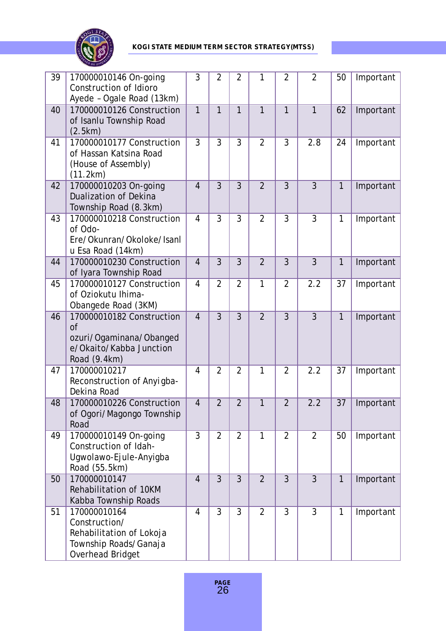

| 39 | 170000010146 On-going<br>Construction of Idioro<br>Ayede - Ogale Road (13km)                                     | 3              | $\overline{2}$ | $\overline{2}$ | 1              | $\overline{2}$ | $\overline{2}$ | 50           | Important |
|----|------------------------------------------------------------------------------------------------------------------|----------------|----------------|----------------|----------------|----------------|----------------|--------------|-----------|
| 40 | 170000010126 Construction<br>of Isanlu Township Road<br>(2.5km)                                                  | $\overline{1}$ | $\mathbf{1}$   | $\mathbf{1}$   | $\mathbf{1}$   | $\mathbf{1}$   | $\mathbf{1}$   | 62           | Important |
| 41 | 170000010177 Construction<br>of Hassan Katsina Road<br>(House of Assembly)<br>(11.2km)                           | $\overline{3}$ | $\overline{3}$ | 3              | $\overline{2}$ | $\mathfrak{Z}$ | 2.8            | 24           | Important |
| 42 | 170000010203 On-going<br><b>Dualization of Dekina</b><br>Township Road (8.3km)                                   | $\overline{4}$ | 3              | 3              | $\overline{2}$ | $\overline{3}$ | $\overline{3}$ | $\mathbf{1}$ | Important |
| 43 | 170000010218 Construction<br>of Odo-<br>Ere/Okunran/Okoloke/Isanl<br>u Esa Road (14km)                           | $\overline{4}$ | 3              | 3              | $\overline{2}$ | 3              | 3              | 1            | Important |
| 44 | 170000010230 Construction<br>of Iyara Township Road                                                              | $\overline{4}$ | $\overline{3}$ | $\overline{3}$ | $\overline{2}$ | $\overline{3}$ | $\overline{3}$ | $\mathbf{1}$ | Important |
| 45 | 170000010127 Construction<br>of Oziokutu Ihima-<br>Obangede Road (3KM)                                           | $\overline{4}$ | $\overline{2}$ | $\overline{2}$ | $\mathbf{1}$   | $\overline{2}$ | 2.2            | 37           | Important |
| 46 | 170000010182 Construction<br><sub>of</sub><br>ozuri/Ogaminana/Obanged<br>e/Okaito/Kabba Junction<br>Road (9.4km) | $\overline{4}$ | 3              | $\overline{3}$ | $\overline{2}$ | $\overline{3}$ | $\overline{3}$ | $\mathbf{1}$ | Important |
| 47 | 170000010217<br>Reconstruction of Anyigba-<br>Dekina Road                                                        | $\overline{4}$ | $\overline{2}$ | $\overline{2}$ | 1              | $\overline{2}$ | 2.2            | 37           | Important |
| 48 | 170000010226 Construction<br>of Ogori/Magongo Township<br>Road                                                   | $\overline{4}$ | $\overline{2}$ | $\overline{2}$ | 1              | $\overline{2}$ | 2.2            | 37           | Important |
| 49 | 170000010149 On-going<br>Construction of Idah-<br>Ugwolawo-Ejule-Anyigba<br>Road (55.5km)                        | 3              | $\overline{2}$ | $\overline{2}$ | 1              | 2              | $\overline{2}$ | 50           | Important |
| 50 | 170000010147<br>Rehabilitation of 10KM<br>Kabba Township Roads                                                   | $\overline{4}$ | $\overline{3}$ | $\overline{3}$ | $\overline{2}$ | $\mathfrak{Z}$ | 3              | $\mathbf{1}$ | Important |
| 51 | 170000010164<br>Construction/<br>Rehabilitation of Lokoja<br>Township Roads/Ganaja<br>Overhead Bridget           | 4              | 3              | 3              | $\overline{2}$ | 3              | $\mathfrak{Z}$ | $\mathbf{1}$ | Important |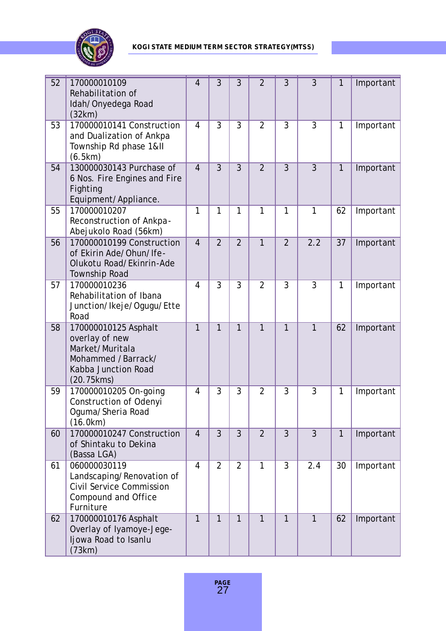

| 52 | 170000010109<br>Rehabilitation of<br>Idah/Onyedega Road<br>(32km)                                                    | $\overline{4}$ | 3              | 3              | $\overline{2}$ | $\overline{3}$ | $\overline{3}$ | 1            | Important |
|----|----------------------------------------------------------------------------------------------------------------------|----------------|----------------|----------------|----------------|----------------|----------------|--------------|-----------|
| 53 | 170000010141 Construction<br>and Dualization of Ankpa<br>Township Rd phase 1&II<br>(6.5km)                           | 4              | 3              | 3              | $\overline{2}$ | 3              | 3              | $\mathbf{1}$ | Important |
| 54 | 130000030143 Purchase of<br>6 Nos. Fire Engines and Fire<br>Fighting<br>Equipment/Appliance.                         | $\overline{4}$ | $\overline{3}$ | $\overline{3}$ | $\overline{2}$ | $\overline{3}$ | $\overline{3}$ | $\mathbf{1}$ | Important |
| 55 | 170000010207<br>Reconstruction of Ankpa-<br>Abejukolo Road (56km)                                                    | 1              | 1              | 1              | 1              | 1              | 1              | 62           | Important |
| 56 | 170000010199 Construction<br>of Ekirin Ade/Ohun/Ife-<br>Olukotu Road/Ekinrin-Ade<br>Township Road                    | $\overline{4}$ | $\overline{2}$ | $\overline{2}$ | 1              | $\overline{2}$ | 2.2            | 37           | Important |
| 57 | 170000010236<br>Rehabilitation of Ibana<br>Junction/Ikeje/Ogugu/Ette<br>Road                                         | $\overline{4}$ | 3              | 3              | $\overline{2}$ | 3              | 3              | 1            | Important |
| 58 | 170000010125 Asphalt<br>overlay of new<br>Market/Muritala<br>Mohammed /Barrack/<br>Kabba Junction Road<br>(20.75kms) | $\mathbf{1}$   | 1              | 1              | 1              | $\mathbf{1}$   | 1              | 62           | Important |
| 59 | 170000010205 On-going<br>Construction of Odenyi<br>Oguma/Sheria Road<br>(16.0km)                                     | 4              | 3              | 3              | 2              | 3              | 3              | $\mathbf{1}$ | Important |
| 60 | 170000010247 Construction<br>of Shintaku to Dekina<br>(Bassa LGA)                                                    | $\overline{4}$ | 3              | $\overline{3}$ | $\overline{2}$ | 3              | $\overline{3}$ | $\mathbf{1}$ | Important |
| 61 | 060000030119<br>Landscaping/Renovation of<br><b>Civil Service Commission</b><br>Compound and Office<br>Furniture     | $\overline{4}$ | $\overline{2}$ | $\overline{2}$ | 1              | 3              | 2.4            | 30           | Important |
| 62 | 170000010176 Asphalt<br>Overlay of Iyamoye-Jege-<br>Ijowa Road to Isanlu<br>(73km)                                   | $\mathbf{1}$   | $\mathbf{1}$   | $\mathbf{1}$   | 1              | $\mathbf{1}$   | 1              | 62           | Important |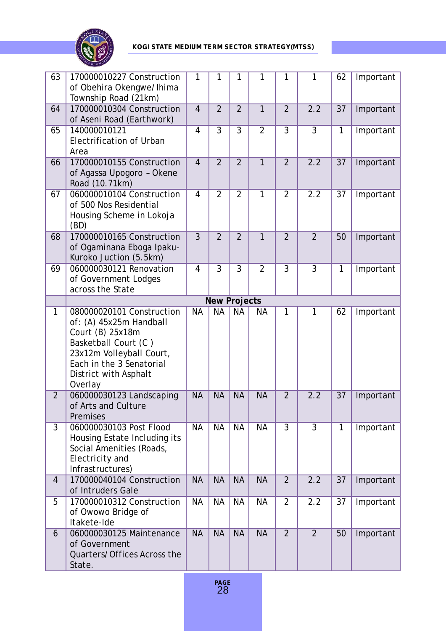

| 63             | 170000010227 Construction<br>of Obehira Okengwe/Ihima<br>Township Road (21km)                                                                                                                | $\mathbf{1}$   | 1              |                | 1              | 1              | 1              | 62           | Important |
|----------------|----------------------------------------------------------------------------------------------------------------------------------------------------------------------------------------------|----------------|----------------|----------------|----------------|----------------|----------------|--------------|-----------|
| 64             | 170000010304 Construction<br>of Aseni Road (Earthwork)                                                                                                                                       | $\overline{4}$ | $\overline{2}$ | $\overline{2}$ | $\mathbf{1}$   | $\overline{2}$ | 2.2            | 37           | Important |
| 65             | 140000010121<br><b>Electrification of Urban</b><br>Area                                                                                                                                      | $\overline{4}$ | 3              | 3              | $\overline{2}$ | 3              | 3              | $\mathbf{1}$ | Important |
| 66             | 170000010155 Construction<br>of Agassa Upogoro - Okene<br>Road (10.71km)                                                                                                                     | $\overline{4}$ | $\overline{2}$ | $\overline{2}$ | $\overline{1}$ | $\overline{2}$ | 2.2            | 37           | Important |
| 67             | 060000010104 Construction<br>of 500 Nos Residential<br>Housing Scheme in Lokoja<br>(BD)                                                                                                      | $\overline{4}$ | $\overline{2}$ | $\overline{2}$ | 1              | $\overline{2}$ | 2.2            | 37           | Important |
| 68             | 170000010165 Construction<br>of Ogaminana Eboga Ipaku-<br>Kuroko Juction (5.5km)                                                                                                             | $\overline{3}$ | $\overline{2}$ | $\overline{2}$ | $\overline{1}$ | $\overline{2}$ | $\overline{2}$ | 50           | Important |
| 69             | 060000030121 Renovation<br>of Government Lodges<br>across the State                                                                                                                          | $\overline{4}$ | 3              | 3              | $\overline{2}$ | 3              | $\overline{3}$ | $\mathbf{1}$ | Important |
|                |                                                                                                                                                                                              |                | New Projects   |                |                |                |                |              |           |
| $\mathbf{1}$   | 080000020101 Construction<br>of: (A) 45x25m Handball<br>Court (B) 25x18m<br>Basketball Court (C)<br>23x12m Volleyball Court,<br>Each in the 3 Senatorial<br>District with Asphalt<br>Overlay | <b>NA</b>      | <b>NA</b>      | <b>NA</b>      | <b>NA</b>      | 1              | 1              | 62           | Important |
| $\overline{2}$ | 060000030123 Landscaping<br>of Arts and Culture<br>Premises                                                                                                                                  | <b>NA</b>      | <b>NA</b>      | <b>NA</b>      | <b>NA</b>      | $\overline{2}$ | 2.2            | 37           | Important |
| 3              | 060000030103 Post Flood<br>Housing Estate Including its<br>Social Amenities (Roads,<br>Electricity and<br>Infrastructures)                                                                   | <b>NA</b>      | <b>NA</b>      | <b>NA</b>      | <b>NA</b>      | 3              | 3              | $\mathbf{1}$ | Important |
| $\overline{4}$ | 170000040104 Construction<br>of Intruders Gale                                                                                                                                               | <b>NA</b>      | <b>NA</b>      | <b>NA</b>      | <b>NA</b>      | $\overline{2}$ | 2.2            | 37           | Important |
| 5              | 170000010312 Construction<br>of Owowo Bridge of<br>Itakete-Ide                                                                                                                               | <b>NA</b>      | <b>NA</b>      | <b>NA</b>      | <b>NA</b>      | $\overline{2}$ | 2.2            | 37           | Important |
| 6              | 060000030125 Maintenance<br>of Government<br>Quarters/Offices Across the<br>State.                                                                                                           | <b>NA</b>      | <b>NA</b>      | <b>NA</b>      | <b>NA</b>      | $\overline{2}$ | $\overline{2}$ | 50           | Important |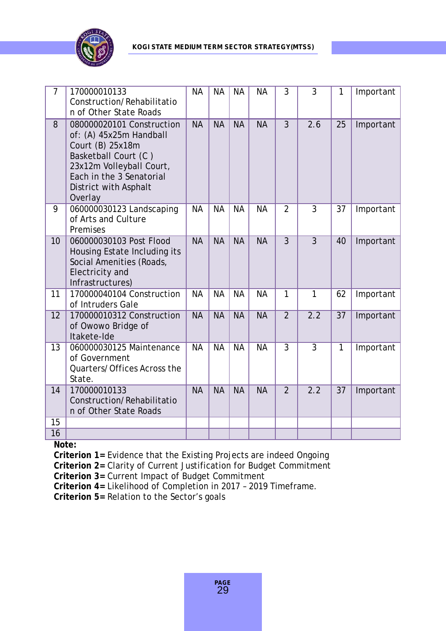

| $\overline{7}$ | 170000010133<br>Construction/Rehabilitatio<br>n of Other State Roads                                                                                                                         | <b>NA</b> | <b>NA</b> | <b>NA</b> | <b>NA</b> | 3              | 3                | $\mathbf{1}$ | Important |
|----------------|----------------------------------------------------------------------------------------------------------------------------------------------------------------------------------------------|-----------|-----------|-----------|-----------|----------------|------------------|--------------|-----------|
| 8              | 080000020101 Construction<br>of: (A) 45x25m Handball<br>Court (B) 25x18m<br>Basketball Court (C)<br>23x12m Volleyball Court,<br>Each in the 3 Senatorial<br>District with Asphalt<br>Overlay | <b>NA</b> | <b>NA</b> | <b>NA</b> | <b>NA</b> | $\overline{3}$ | 2.6              | 25           | Important |
| 9              | 060000030123 Landscaping<br>of Arts and Culture<br>Premises                                                                                                                                  | <b>NA</b> | <b>NA</b> | <b>NA</b> | <b>NA</b> | $\overline{2}$ | 3                | 37           | Important |
| 10             | 060000030103 Post Flood<br>Housing Estate Including its<br>Social Amenities (Roads,<br>Electricity and<br>Infrastructures)                                                                   | <b>NA</b> | <b>NA</b> | <b>NA</b> | <b>NA</b> | $\overline{3}$ | $\overline{3}$   | 40           | Important |
| 11             | 170000040104 Construction<br>of Intruders Gale                                                                                                                                               | <b>NA</b> | <b>NA</b> | <b>NA</b> | <b>NA</b> | $\mathbf{1}$   | 1                | 62           | Important |
| 12             | 170000010312 Construction<br>of Owowo Bridge of<br>Itakete-Ide                                                                                                                               | <b>NA</b> | <b>NA</b> | <b>NA</b> | <b>NA</b> | $\overline{2}$ | 2.2              | 37           | Important |
| 13             | 060000030125 Maintenance<br>of Government<br>Quarters/Offices Across the<br>State.                                                                                                           | <b>NA</b> | <b>NA</b> | <b>NA</b> | <b>NA</b> | 3              | 3                | $\mathbf{1}$ | Important |
| 14             | 170000010133<br>Construction/Rehabilitatio<br>n of Other State Roads                                                                                                                         | <b>NA</b> | <b>NA</b> | <b>NA</b> | <b>NA</b> | $\overline{2}$ | $\overline{2.2}$ | 37           | Important |
| 15             |                                                                                                                                                                                              |           |           |           |           |                |                  |              |           |
| 16             |                                                                                                                                                                                              |           |           |           |           |                |                  |              |           |

**Note:**

**Criterion 1=** Evidence that the Existing Projects are indeed Ongoing

**Criterion 2=** Clarity of Current Justification for Budget Commitment

**Criterion 3=** Current Impact of Budget Commitment

**Criterion 4=** Likelihood of Completion in 2017 – 2019 Timeframe.

**Criterion 5=** Relation to the Sector's goals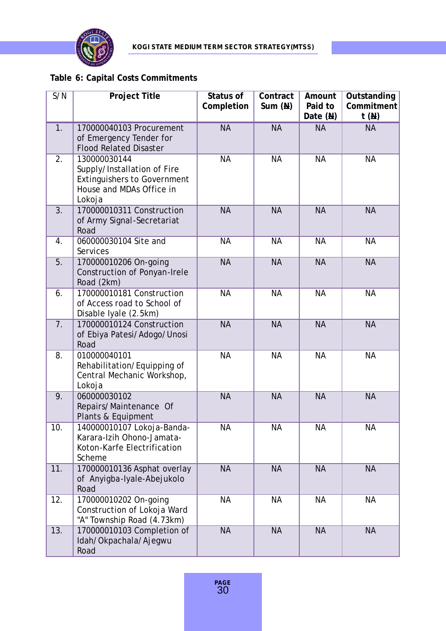

## **Table 6: Capital Costs Commitments**

| S/N | Project Title                                                                                                           | Status of<br>Completion | Contract<br>Sum $(\mathbb{H})$ | Amount<br>Paid to<br>Date $(\mathbb{H})$ | Outstanding<br>Commitment<br>$t(\mathbf{H})$ |
|-----|-------------------------------------------------------------------------------------------------------------------------|-------------------------|--------------------------------|------------------------------------------|----------------------------------------------|
| 1.  | 170000040103 Procurement<br>of Emergency Tender for<br><b>Flood Related Disaster</b>                                    | <b>NA</b>               | <b>NA</b>                      | <b>NA</b>                                | <b>NA</b>                                    |
| 2.  | 130000030144<br>Supply/Installation of Fire<br><b>Extinguishers to Government</b><br>House and MDAs Office in<br>Lokoja | <b>NA</b>               | <b>NA</b>                      | <b>NA</b>                                | <b>NA</b>                                    |
| 3.  | 170000010311 Construction<br>of Army Signal-Secretariat<br>Road                                                         | <b>NA</b>               | <b>NA</b>                      | <b>NA</b>                                | <b>NA</b>                                    |
| 4.  | 060000030104 Site and<br>Services                                                                                       | <b>NA</b>               | <b>NA</b>                      | <b>NA</b>                                | <b>NA</b>                                    |
| 5.  | 170000010206 On-going<br>Construction of Ponyan-Irele<br>Road (2km)                                                     | <b>NA</b>               | <b>NA</b>                      | <b>NA</b>                                | <b>NA</b>                                    |
| 6.  | 170000010181 Construction<br>of Access road to School of<br>Disable Iyale (2.5km)                                       | <b>NA</b>               | <b>NA</b>                      | <b>NA</b>                                | <b>NA</b>                                    |
| 7.  | 170000010124 Construction<br>of Ebiya Patesi/Adogo/Unosi<br>Road                                                        | <b>NA</b>               | <b>NA</b>                      | <b>NA</b>                                | <b>NA</b>                                    |
| 8.  | 010000040101<br>Rehabilitation/Equipping of<br>Central Mechanic Workshop,<br>Lokoja                                     | <b>NA</b>               | <b>NA</b>                      | <b>NA</b>                                | <b>NA</b>                                    |
| 9.  | 060000030102<br>Repairs/Maintenance Of<br>Plants & Equipment                                                            | <b>NA</b>               | <b>NA</b>                      | <b>NA</b>                                | <b>NA</b>                                    |
| 10. | 140000010107 Lokoja-Banda-<br>Karara-Izih Ohono-Jamata-<br>Koton-Karfe Electrification<br>Scheme                        | NА                      | NА                             | ΝA                                       | NА                                           |
| 11. | 170000010136 Asphat overlay<br>of Anyigba-Iyale-Abejukolo<br>Road                                                       | <b>NA</b>               | <b>NA</b>                      | <b>NA</b>                                | <b>NA</b>                                    |
| 12. | 170000010202 On-going<br>Construction of Lokoja Ward<br>"A" Township Road (4.73km)                                      | <b>NA</b>               | <b>NA</b>                      | <b>NA</b>                                | NА                                           |
| 13. | 170000010103 Completion of<br>Idah/Okpachala/Ajegwu<br>Road                                                             | <b>NA</b>               | <b>NA</b>                      | <b>NA</b>                                | <b>NA</b>                                    |

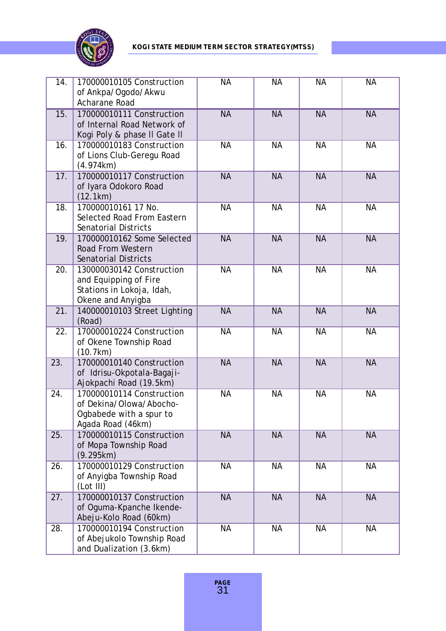

| 14. | 170000010105 Construction<br>of Ankpa/Ogodo/Akwu<br>Acharane Road                                    | <b>NA</b> | <b>NA</b> | <b>NA</b> | <b>NA</b> |
|-----|------------------------------------------------------------------------------------------------------|-----------|-----------|-----------|-----------|
| 15. | 170000010111 Construction<br>of Internal Road Network of<br>Kogi Poly & phase II Gate II             | <b>NA</b> | <b>NA</b> | <b>NA</b> | <b>NA</b> |
| 16. | 170000010183 Construction<br>of Lions Club-Geregu Road<br>(4.974km)                                  | <b>NA</b> | <b>NA</b> | <b>NA</b> | <b>NA</b> |
| 17. | 170000010117 Construction<br>of Iyara Odokoro Road<br>(12.1km)                                       | <b>NA</b> | <b>NA</b> | <b>NA</b> | <b>NA</b> |
| 18. | 170000010161 17 No.<br>Selected Road From Eastern<br><b>Senatorial Districts</b>                     | <b>NA</b> | <b>NA</b> | <b>NA</b> | <b>NA</b> |
| 19. | 170000010162 Some Selected<br>Road From Western<br>Senatorial Districts                              | <b>NA</b> | <b>NA</b> | <b>NA</b> | <b>NA</b> |
| 20. | 130000030142 Construction<br>and Equipping of Fire<br>Stations in Lokoja, Idah,<br>Okene and Anyigba | <b>NA</b> | <b>NA</b> | <b>NA</b> | <b>NA</b> |
| 21. | 140000010103 Street Lighting<br>(Road)                                                               | <b>NA</b> | <b>NA</b> | <b>NA</b> | <b>NA</b> |
| 22. | 170000010224 Construction<br>of Okene Township Road<br>(10.7km)                                      | <b>NA</b> | <b>NA</b> | <b>NA</b> | <b>NA</b> |
| 23. | 170000010140 Construction<br>of Idrisu-Okpotala-Bagaji-<br>Ajokpachi Road (19.5km)                   | <b>NA</b> | <b>NA</b> | <b>NA</b> | <b>NA</b> |
| 24. | 170000010114 Construction<br>of Dekina/Olowa/Abocho-<br>Ogbabede with a spur to<br>Agada Road (46km) | <b>NA</b> | <b>NA</b> | <b>NA</b> | <b>NA</b> |
| 25. | 170000010115 Construction<br>of Mopa Township Road<br>(9.295km)                                      | <b>NA</b> | <b>NA</b> | <b>NA</b> | <b>NA</b> |
| 26. | 170000010129 Construction<br>of Anyigba Township Road<br>(Lot III)                                   | <b>NA</b> | <b>NA</b> | <b>NA</b> | <b>NA</b> |
| 27. | 170000010137 Construction<br>of Oguma-Kpanche Ikende-<br>Abeju-Kolo Road (60km)                      | <b>NA</b> | <b>NA</b> | <b>NA</b> | <b>NA</b> |
| 28. | 170000010194 Construction<br>of Abejukolo Township Road<br>and Dualization (3.6km)                   | <b>NA</b> | <b>NA</b> | <b>NA</b> | <b>NA</b> |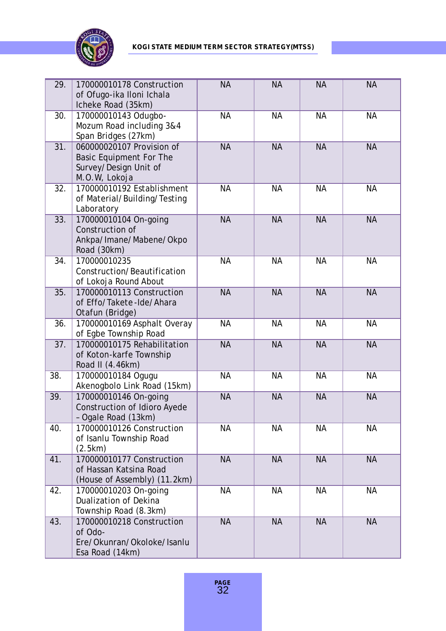

| 29. | 170000010178 Construction<br>of Ofugo-ika Iloni Ichala<br>Icheke Road (35km)                   | <b>NA</b> | <b>NA</b> | <b>NA</b> | <b>NA</b> |
|-----|------------------------------------------------------------------------------------------------|-----------|-----------|-----------|-----------|
| 30. | 170000010143 Odugbo-<br>Mozum Road including 3&4<br>Span Bridges (27km)                        | <b>NA</b> | <b>NA</b> | <b>NA</b> | <b>NA</b> |
| 31. | 060000020107 Provision of<br>Basic Equipment For The<br>Survey/Design Unit of<br>M.O.W, Lokoja | <b>NA</b> | <b>NA</b> | <b>NA</b> | <b>NA</b> |
| 32. | 170000010192 Establishment<br>of Material/Building/Testing<br>Laboratory                       | <b>NA</b> | <b>NA</b> | <b>NA</b> | <b>NA</b> |
| 33. | 170000010104 On-going<br>Construction of<br>Ankpa/Imane/Mabene/Okpo<br>Road (30km)             | <b>NA</b> | <b>NA</b> | <b>NA</b> | <b>NA</b> |
| 34. | 170000010235<br>Construction/Beautification<br>of Lokoja Round About                           | <b>NA</b> | <b>NA</b> | <b>NA</b> | <b>NA</b> |
| 35. | 170000010113 Construction<br>of Effo/Takete-Ide/Ahara<br>Otafun (Bridge)                       | <b>NA</b> | <b>NA</b> | <b>NA</b> | <b>NA</b> |
| 36. | 170000010169 Asphalt Overay<br>of Egbe Township Road                                           | <b>NA</b> | <b>NA</b> | <b>NA</b> | <b>NA</b> |
| 37. | 170000010175 Rehabilitation<br>of Koton-karfe Township<br>Road II (4.46km)                     | <b>NA</b> | <b>NA</b> | <b>NA</b> | <b>NA</b> |
| 38. | 170000010184 Oququ<br>Akenogbolo Link Road (15km)                                              | <b>NA</b> | <b>NA</b> | <b>NA</b> | <b>NA</b> |
| 39. | 170000010146 On-going<br>Construction of Idioro Ayede<br>- Ogale Road (13km)                   | <b>NA</b> | <b>NA</b> | <b>NA</b> | <b>NA</b> |
| 40. | 170000010126 Construction<br>of Isanlu Township Road<br>(2.5km)                                | <b>NA</b> | <b>NA</b> | <b>NA</b> | <b>NA</b> |
| 41. | 170000010177 Construction<br>of Hassan Katsina Road<br>(House of Assembly) (11.2km)            | <b>NA</b> | <b>NA</b> | <b>NA</b> | <b>NA</b> |
| 42. | 170000010203 On-going<br>Dualization of Dekina<br>Township Road (8.3km)                        | <b>NA</b> | <b>NA</b> | <b>NA</b> | <b>NA</b> |
| 43. | 170000010218 Construction<br>of Odo-<br>Ere/Okunran/Okoloke/Isanlu<br>Esa Road (14km)          | <b>NA</b> | <b>NA</b> | <b>NA</b> | <b>NA</b> |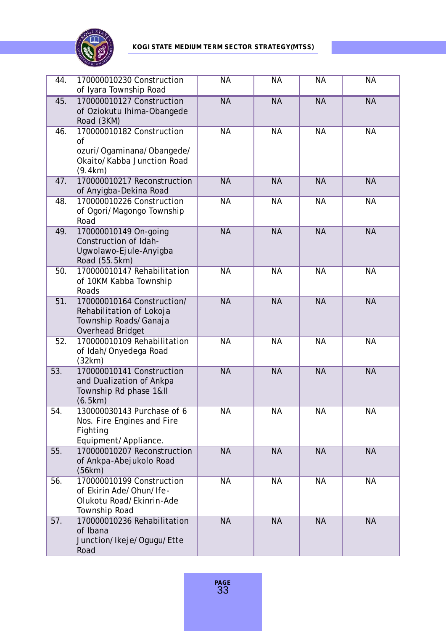

| 44.               | 170000010230 Construction<br>of Iyara Township Road                                                   | <b>NA</b>                | <b>NA</b>                | <b>NA</b> | <b>NA</b>                |
|-------------------|-------------------------------------------------------------------------------------------------------|--------------------------|--------------------------|-----------|--------------------------|
| 45.               | 170000010127 Construction<br>of Oziokutu Ihima-Obangede<br>Road (3KM)                                 | <b>NA</b>                | <b>NA</b>                | <b>NA</b> | <b>NA</b>                |
| 46.               | 170000010182 Construction<br>0f<br>ozuri/Ogaminana/Obangede/<br>Okaito/Kabba Junction Road<br>(9.4km) | <b>NA</b>                | <b>NA</b>                | <b>NA</b> | <b>NA</b>                |
| 47.               | 170000010217 Reconstruction<br>of Anyigba-Dekina Road                                                 | <b>NA</b>                | <b>NA</b>                | <b>NA</b> | <b>NA</b>                |
| 48.               | 170000010226 Construction<br>of Ogori/Magongo Township<br>Road                                        | <b>NA</b>                | <b>NA</b>                | <b>NA</b> | <b>NA</b>                |
| 49.               | 170000010149 On-going<br>Construction of Idah-<br>Ugwolawo-Ejule-Anyigba<br>Road (55.5km)             | <b>NA</b>                | <b>NA</b>                | <b>NA</b> | <b>NA</b>                |
| 50.               | 170000010147 Rehabilitation<br>of 10KM Kabba Township<br>Roads                                        | <b>NA</b>                | <b>NA</b>                | <b>NA</b> | <b>NA</b>                |
| $\overline{51}$ . | 170000010164 Construction/<br>Rehabilitation of Lokoja<br>Township Roads/Ganaja<br>Overhead Bridget   | <b>NA</b>                | $\overline{\mathsf{NA}}$ | <b>NA</b> | $\overline{\mathsf{NA}}$ |
| 52.               | 170000010109 Rehabilitation<br>of Idah/Onyedega Road<br>(32km)                                        | <b>NA</b>                | <b>NA</b>                | <b>NA</b> | <b>NA</b>                |
| 53.               | 170000010141 Construction<br>and Dualization of Ankpa<br>Township Rd phase 1&II<br>(6.5km)            | <b>NA</b>                | <b>NA</b>                | <b>NA</b> | <b>NA</b>                |
| 54.               | 130000030143 Purchase of 6<br>Nos. Fire Engines and Fire<br>Fighting<br>Equipment/Appliance.          | $\overline{\mathsf{NA}}$ | NA                       | <b>NA</b> | <b>NA</b>                |
| 55.               | 170000010207 Reconstruction<br>of Ankpa-Abejukolo Road<br>(56km)                                      | <b>NA</b>                | <b>NA</b>                | <b>NA</b> | <b>NA</b>                |
| 56.               | 170000010199 Construction<br>of Ekirin Ade/Ohun/Ife-<br>Olukotu Road/Ekinrin-Ade<br>Township Road     | <b>NA</b>                | <b>NA</b>                | <b>NA</b> | <b>NA</b>                |
| 57.               | 170000010236 Rehabilitation<br>of Ibana<br>Junction/Ikeje/Ogugu/Ette<br>Road                          | <b>NA</b>                | <b>NA</b>                | <b>NA</b> | <b>NA</b>                |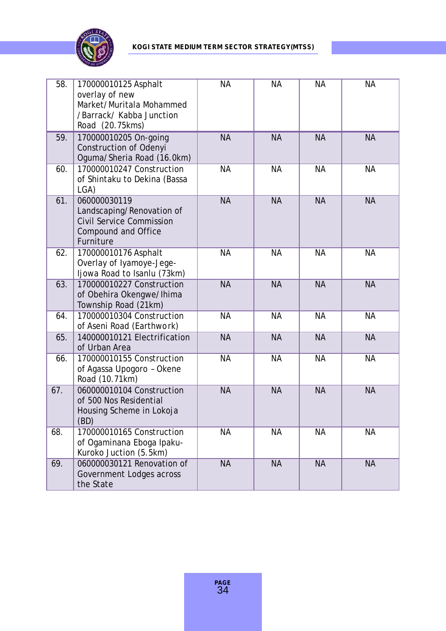

| 58. | 170000010125 Asphalt<br>overlay of new<br>Market/Muritala Mohammed<br>/Barrack/ Kabba Junction<br>Road (20.75kms) | <b>NA</b> | <b>NA</b> | <b>NA</b> | <b>NA</b> |
|-----|-------------------------------------------------------------------------------------------------------------------|-----------|-----------|-----------|-----------|
| 59. | 170000010205 On-going<br>Construction of Odenyi<br>Oguma/Sheria Road (16.0km)                                     | <b>NA</b> | <b>NA</b> | <b>NA</b> | <b>NA</b> |
| 60. | 170000010247 Construction<br>of Shintaku to Dekina (Bassa<br>LGA                                                  | <b>NA</b> | <b>NA</b> | <b>NA</b> | <b>NA</b> |
| 61. | 060000030119<br>Landscaping/Renovation of<br><b>Civil Service Commission</b><br>Compound and Office<br>Furniture  | <b>NA</b> | <b>NA</b> | <b>NA</b> | <b>NA</b> |
| 62. | 170000010176 Asphalt<br>Overlay of Iyamoye-Jege-<br>Ijowa Road to Isanlu (73km)                                   | <b>NA</b> | <b>NA</b> | <b>NA</b> | <b>NA</b> |
| 63. | 170000010227 Construction<br>of Obehira Okengwe/Ihima<br>Township Road (21km)                                     | <b>NA</b> | <b>NA</b> | <b>NA</b> | <b>NA</b> |
| 64. | 170000010304 Construction<br>of Aseni Road (Earthwork)                                                            | <b>NA</b> | <b>NA</b> | <b>NA</b> | <b>NA</b> |
| 65. | 140000010121 Electrification<br>of Urban Area                                                                     | <b>NA</b> | <b>NA</b> | <b>NA</b> | <b>NA</b> |
| 66. | 170000010155 Construction<br>of Agassa Upogoro - Okene<br>Road (10.71km)                                          | <b>NA</b> | <b>NA</b> | <b>NA</b> | <b>NA</b> |
| 67. | 060000010104 Construction<br>of 500 Nos Residential<br>Housing Scheme in Lokoja<br>(BD)                           | <b>NA</b> | <b>NA</b> | <b>NA</b> | <b>NA</b> |
| 68. | 170000010165 Construction<br>of Ogaminana Eboga Ipaku-<br>Kuroko Juction (5.5km)                                  | <b>NA</b> | <b>NA</b> | <b>NA</b> | <b>NA</b> |
| 69. | 060000030121 Renovation of<br>Government Lodges across<br>the State                                               | <b>NA</b> | <b>NA</b> | <b>NA</b> | <b>NA</b> |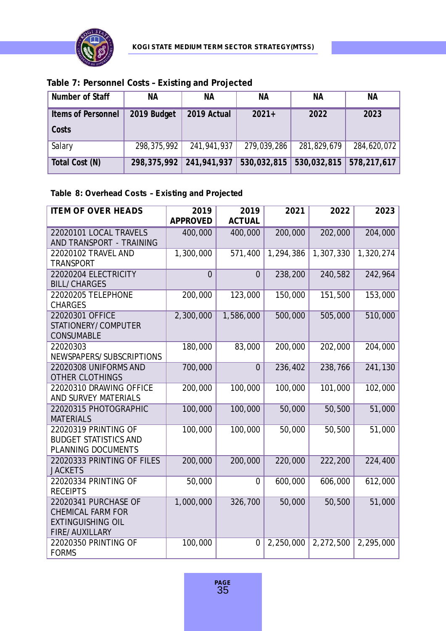

**Table 7: Personnel Costs – Existing and Projected**

| Number of Staff    | <b>NA</b>     | ΝA          | <b>NA</b>   | <b>NA</b>                 | <b>NA</b>   |
|--------------------|---------------|-------------|-------------|---------------------------|-------------|
| Items of Personnel | 2019 Budget   | 2019 Actual | $2021+$     | 2022                      | 2023        |
| Costs              |               |             |             |                           |             |
| Salary             | 298, 375, 992 | 241,941,937 | 279,039,286 | 281,829,679               | 284,620,072 |
| Total Cost (N)     | 298,375,992   | 241,941,937 |             | $530,032,815$ 530,032,815 | 578,217,617 |

## **Table 8: Overhead Costs –Existing and Projected**

| <b>ITEM OF OVER HEADS</b>                                                                             | 2019            | 2019           | 2021      | 2022      | 2023      |
|-------------------------------------------------------------------------------------------------------|-----------------|----------------|-----------|-----------|-----------|
|                                                                                                       | <b>APPROVED</b> | <b>ACTUAL</b>  |           |           |           |
| 22020101 LOCAL TRAVELS<br>AND TRANSPORT - TRAINING                                                    | 400,000         | 400,000        | 200,000   | 202,000   | 204,000   |
| 22020102 TRAVEL AND<br><b>TRANSPORT</b>                                                               | 1,300,000       | 571,400        | 1,294,386 | 1,307,330 | 1,320,274 |
| 22020204 ELECTRICITY<br><b>BILL/CHARGES</b>                                                           | $\overline{0}$  | $\overline{0}$ | 238,200   | 240,582   | 242,964   |
| 22020205 TELEPHONE<br><b>CHARGES</b>                                                                  | 200,000         | 123,000        | 150,000   | 151,500   | 153,000   |
| 22020301 OFFICE<br>STATIONERY/COMPUTER<br><b>CONSUMABLE</b>                                           | 2,300,000       | 1,586,000      | 500,000   | 505,000   | 510,000   |
| 22020303<br>NEWSPAPERS/SUBSCRIPTIONS                                                                  | 180,000         | 83,000         | 200,000   | 202,000   | 204,000   |
| 22020308 UNIFORMS AND<br><b>OTHER CLOTHINGS</b>                                                       | 700,000         | $\overline{0}$ | 236,402   | 238,766   | 241,130   |
| 22020310 DRAWING OFFICE<br>AND SURVEY MATERIALS                                                       | 200,000         | 100,000        | 100,000   | 101,000   | 102,000   |
| 22020315 PHOTOGRAPHIC<br><b>MATERIALS</b>                                                             | 100,000         | 100,000        | 50,000    | 50,500    | 51,000    |
| 22020319 PRINTING OF<br><b>BUDGET STATISTICS AND</b><br>PLANNING DOCUMENTS                            | 100,000         | 100,000        | 50,000    | 50,500    | 51,000    |
| 22020333 PRINTING OF FILES<br><b>JACKETS</b>                                                          | 200,000         | 200,000        | 220,000   | 222,200   | 224,400   |
| 22020334 PRINTING OF<br><b>RECEIPTS</b>                                                               | 50,000          | $\overline{0}$ | 600,000   | 606,000   | 612,000   |
| <b>22020341 PURCHASE OF</b><br><b>CHEMICAL FARM FOR</b><br><b>EXTINGUISHING OIL</b><br>FIRE/AUXILLARY | 1,000,000       | 326,700        | 50,000    | 50,500    | 51,000    |
| 22020350 PRINTING OF<br><b>FORMS</b>                                                                  | 100,000         | $\overline{0}$ | 2,250,000 | 2,272,500 | 2,295,000 |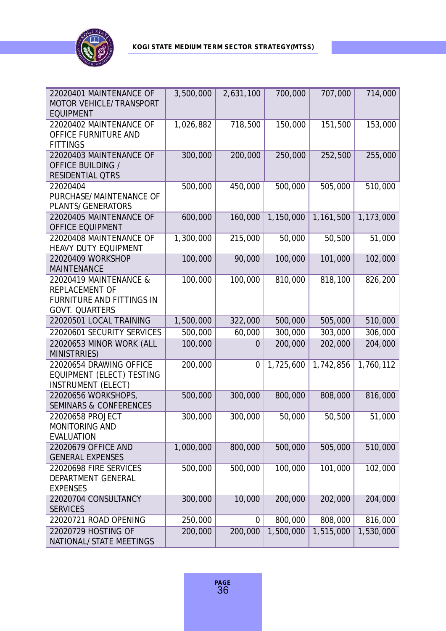

| 22020401 MAINTENANCE OF<br>MOTOR VEHICLE/TRANSPORT<br><b>EQUIPMENT</b>                                | 3,500,000 | 2,631,100 | 700,000   | 707,000   | 714,000   |
|-------------------------------------------------------------------------------------------------------|-----------|-----------|-----------|-----------|-----------|
| 22020402 MAINTENANCE OF<br>OFFICE FURNITURE AND<br><b>FITTINGS</b>                                    | 1,026,882 | 718,500   | 150,000   | 151,500   | 153,000   |
| 22020403 MAINTENANCE OF<br><b>OFFICE BUILDING /</b><br><b>RESIDENTIAL QTRS</b>                        | 300,000   | 200,000   | 250,000   | 252,500   | 255,000   |
| 22020404<br>PURCHASE/MAINTENANCE OF<br>PLANTS/GENERATORS                                              | 500,000   | 450,000   | 500,000   | 505,000   | 510,000   |
| 22020405 MAINTENANCE OF<br><b>OFFICE EQUIPMENT</b>                                                    | 600,000   | 160,000   | 1,150,000 | 1,161,500 | 1,173,000 |
| 22020408 MAINTENANCE OF<br><b>HEAVY DUTY EQUIPMENT</b>                                                | 1,300,000 | 215,000   | 50,000    | 50,500    | 51,000    |
| 22020409 WORKSHOP<br><b>MAINTENANCE</b>                                                               | 100,000   | 90,000    | 100,000   | 101,000   | 102,000   |
| 22020419 MAINTENANCE &<br>REPLACEMENT OF<br><b>FURNITURE AND FITTINGS IN</b><br><b>GOVT. QUARTERS</b> | 100,000   | 100,000   | 810,000   | 818,100   | 826,200   |
| 22020501 LOCAL TRAINING                                                                               | 1,500,000 | 322,000   | 500,000   | 505,000   | 510,000   |
| 22020601 SECURITY SERVICES                                                                            | 500,000   | 60,000    | 300,000   | 303,000   | 306,000   |
| 22020653 MINOR WORK (ALL<br>MINISTRRIES)                                                              | 100,000   | $\Omega$  | 200,000   | 202,000   | 204,000   |
| 22020654 DRAWING OFFICE<br>EQUIPMENT (ELECT) TESTING<br>INSTRUMENT (ELECT)                            | 200,000   | 0         | 1,725,600 | 1,742,856 | 1,760,112 |
| 22020656 WORKSHOPS,<br><b>SEMINARS &amp; CONFERENCES</b>                                              | 500,000   | 300,000   | 800,000   | 808,000   | 816,000   |
| 22020658 PROJECT<br><b>MONITORING AND</b><br><b>EVALUATION</b>                                        | 300,000   | 300,000   | 50,000    | 50,500    | 51,000    |
| 22020679 OFFICE AND<br><b>GENERAL EXPENSES</b>                                                        | 1,000,000 | 800,000   | 500,000   | 505,000   | 510,000   |
| 22020698 FIRE SERVICES<br>DEPARTMENT GENERAL<br><b>EXPENSES</b>                                       | 500,000   | 500,000   | 100,000   | 101,000   | 102,000   |
| 22020704 CONSULTANCY<br><b>SERVICES</b>                                                               | 300,000   | 10,000    | 200,000   | 202,000   | 204,000   |
| 22020721 ROAD OPENING                                                                                 | 250,000   | 0         | 800,000   | 808,000   | 816,000   |
| 22020729 HOSTING OF<br>NATIONAL/STATE MEETINGS                                                        | 200,000   | 200,000   | 1,500,000 | 1,515,000 | 1,530,000 |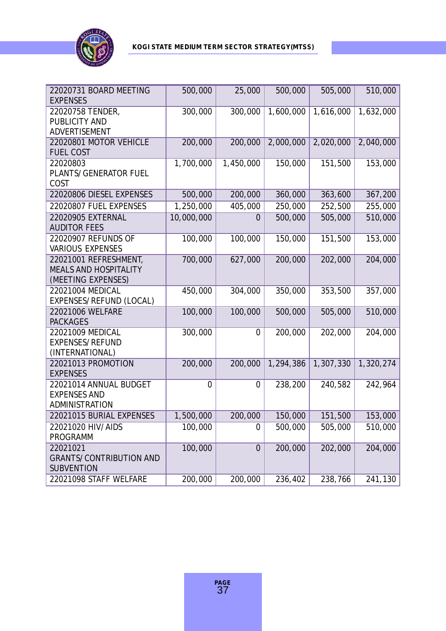

| 22020731 BOARD MEETING<br><b>EXPENSES</b>                                   | 500,000        | 25,000         | 500,000   | 505,000   | 510,000   |
|-----------------------------------------------------------------------------|----------------|----------------|-----------|-----------|-----------|
| 22020758 TENDER,<br>PUBLICITY AND<br>ADVERTISEMENT                          | 300,000        | 300,000        | 1,600,000 | 1,616,000 | 1,632,000 |
| 22020801 MOTOR VEHICLE<br><b>FUEL COST</b>                                  | 200,000        | 200,000        | 2,000,000 | 2,020,000 | 2,040,000 |
| 22020803<br>PLANTS/GENERATOR FUEL<br>COST                                   | 1,700,000      | 1,450,000      | 150,000   | 151,500   | 153,000   |
| 22020806 DIESEL EXPENSES                                                    | 500,000        | 200,000        | 360,000   | 363,600   | 367,200   |
| 22020807 FUEL EXPENSES                                                      | 1,250,000      | 405,000        | 250,000   | 252,500   | 255,000   |
| 22020905 EXTERNAL<br><b>AUDITOR FEES</b>                                    | 10,000,000     | $\overline{0}$ | 500,000   | 505,000   | 510,000   |
| 22020907 REFUNDS OF<br><b>VARIOUS EXPENSES</b>                              | 100,000        | 100,000        | 150,000   | 151,500   | 153,000   |
| 22021001 REFRESHMENT,<br><b>MEALS AND HOSPITALITY</b><br>(MEETING EXPENSES) | 700,000        | 627,000        | 200,000   | 202,000   | 204,000   |
| 22021004 MEDICAL<br>EXPENSES/REFUND (LOCAL)                                 | 450,000        | 304,000        | 350,000   | 353,500   | 357,000   |
| 22021006 WELFARE<br><b>PACKAGES</b>                                         | 100,000        | 100,000        | 500,000   | 505,000   | 510,000   |
| 22021009 MEDICAL<br>EXPENSES/REFUND<br>(INTERNATIONAL)                      | 300,000        | $\overline{0}$ | 200,000   | 202,000   | 204,000   |
| 22021013 PROMOTION<br><b>EXPENSES</b>                                       | 200,000        | 200,000        | 1,294,386 | 1,307,330 | 1,320,274 |
| 22021014 ANNUAL BUDGET<br><b>EXPENSES AND</b><br>ADMINISTRATION             | $\overline{0}$ | $\overline{0}$ | 238,200   | 240,582   | 242,964   |
| 22021015 BURIAL EXPENSES                                                    | 1,500,000      | 200,000        | 150,000   | 151,500   | 153,000   |
| 22021020 HIV/AIDS<br><b>PROGRAMM</b>                                        | 100,000        | $\overline{0}$ | 500,000   | 505,000   | 510,000   |
| 22021021<br><b>GRANTS/CONTRIBUTION AND</b><br><b>SUBVENTION</b>             | 100,000        | $\overline{0}$ | 200,000   | 202,000   | 204,000   |
| 22021098 STAFF WELFARE                                                      | 200,000        | 200,000        | 236,402   | 238,766   | 241,130   |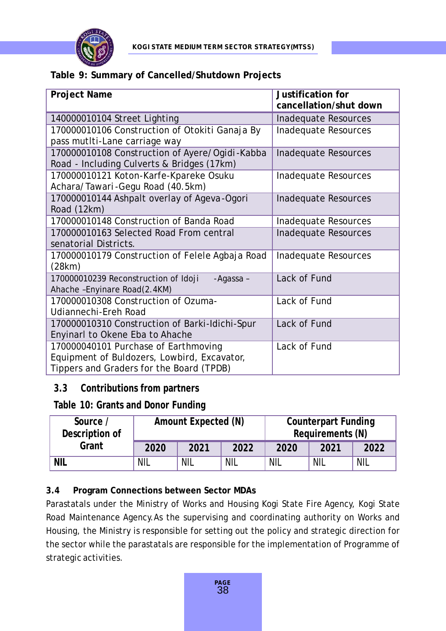

### **Table 9: Summary of Cancelled/Shutdown Projects**

| Project Name                                      | Justification for<br>cancellation/shut down |
|---------------------------------------------------|---------------------------------------------|
| 140000010104 Street Lighting                      | Inadequate Resources                        |
| 170000010106 Construction of Otokiti Ganaja By    | Inadequate Resources                        |
| pass mutIti-Lane carriage way                     |                                             |
| 170000010108 Construction of Ayere/Ogidi-Kabba    | Inadequate Resources                        |
| Road - Including Culverts & Bridges (17km)        |                                             |
| 170000010121 Koton-Karfe-Kpareke Osuku            | Inadequate Resources                        |
| Achara/Tawari-Gegu Road (40.5km)                  |                                             |
| 170000010144 Ashpalt overlay of Ageva-Ogori       | Inadequate Resources                        |
| Road (12km)                                       |                                             |
| 170000010148 Construction of Banda Road           | Inadequate Resources                        |
| 170000010163 Selected Road From central           | Inadequate Resources                        |
| senatorial Districts.                             |                                             |
| 170000010179 Construction of Felele Agbaja Road   | Inadequate Resources                        |
| (28km)                                            |                                             |
| 170000010239 Reconstruction of Idoji<br>-Agassa - | Lack of Fund                                |
| Ahache - Enyinare Road(2.4KM)                     |                                             |
| 170000010308 Construction of Ozuma-               | Lack of Fund                                |
| Udiannechi-Ereh Road                              |                                             |
| 170000010310 Construction of Barki-Idichi-Spur    | Lack of Fund                                |
| Enyinarl to Okene Eba to Ahache                   |                                             |
| 170000040101 Purchase of Earthmoving              | Lack of Fund                                |
| Equipment of Buldozers, Lowbird, Excavator,       |                                             |
| Tippers and Graders for the Board (TPDB)          |                                             |

## **3.3 Contributions from partners**

**Table 10: Grants and Donor Funding**

| Source /<br>Description of |      | Amount Expected (N) |      | Counterpart Funding<br>Requirements (N) |            |      |
|----------------------------|------|---------------------|------|-----------------------------------------|------------|------|
| Grant                      | 2020 | 2021                | 2022 | 2020                                    | 2021       | 2022 |
| <b>NIL</b>                 | NIL  | <b>NIL</b>          | NIL  | NIL                                     | <b>NIL</b> | NIL  |

## **3.4 Program Connections between Sector MDAs**

Parastatals under the Ministry of Works and Housing Kogi State Fire Agency, Kogi State Road Maintenance Agency.As the supervising and coordinating authority on Works and Housing, the Ministry is responsible for setting out the policy and strategic direction for the sector while the parastatals are responsible for the implementation of Programme of strategic activities.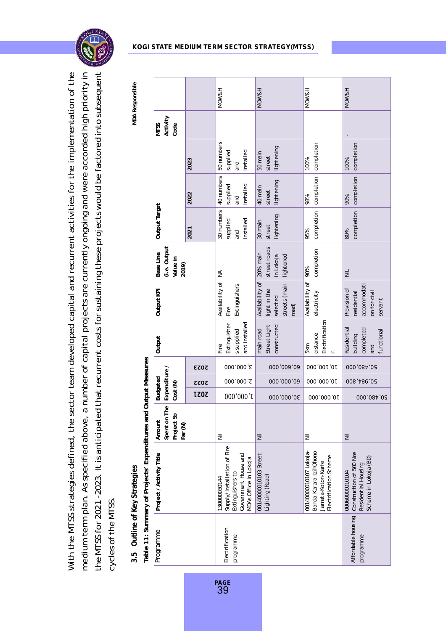

**MDA Responsible**

With th e $\Xi^ \mathcal{S}$ strate gie sdefin ed, th ese ctor te amdevelo pedcapital a nd re curre nt a ctivitie sfor th e im  $\frac{\omega}{\Omega}$ mentatio nof th emediu m term pla n. A ssp ecifie dabove, a number o fcapital proje  $\ddot{\phantom{a}}$ cts are curre ntly ongoin gandwere accord edhig hpriority in th e cycle softh e5<br>M  $\mathcal{S}$ for 2021 -202 3. It is anticip ate d th at re curre nt c osts for su stainin g th ese proje cts wo a<br>B befa ctore d into su bse quent  $\Xi^ \Im$ 



**mary of Projects' Expenditures and Output Measures ures**

|                                                 |                                                                 |             | <b>MOW&amp;H</b>                                                                                                 | MOW&H                                                                 | MOW&H                                                                                             | MOW&H                                                                                     |
|-------------------------------------------------|-----------------------------------------------------------------|-------------|------------------------------------------------------------------------------------------------------------------|-----------------------------------------------------------------------|---------------------------------------------------------------------------------------------------|-------------------------------------------------------------------------------------------|
|                                                 | Activity<br><b>MTSS</b><br>Code                                 |             |                                                                                                                  |                                                                       |                                                                                                   |                                                                                           |
|                                                 |                                                                 | 2023        | 50 numbers<br>installed<br>supplied<br>and                                                                       | lightening<br>50 main<br>street                                       | 100%                                                                                              | 100%                                                                                      |
|                                                 |                                                                 | 2022        | 40 numbers<br>installed<br>supplied<br>and                                                                       | lightening<br>40 main<br>street                                       | completion completion<br>98%                                                                      | completion completion<br>90%                                                              |
|                                                 | Output Target                                                   | 2021        | 30 numbers<br>installed<br>supplied<br><b>Dug</b>                                                                | lightening<br>30 main<br>street                                       | completion<br>95%                                                                                 | completion<br>80%                                                                         |
|                                                 | (i.e. Output<br>Base Line<br>Value in<br>2019)                  |             | ₹                                                                                                                | street roads<br>in Lokoja<br>20% main<br>lightened                    | completion<br>90%                                                                                 | $\equiv$                                                                                  |
|                                                 | Output KPI                                                      |             | Availability of<br>Extinguishers<br>Fire                                                                         | Availability of<br>streets (main<br>light in the<br>selected<br>road) | Availability of<br>electricity                                                                    | accommodati<br>Provision of<br>residential<br>on for civil<br>servant                     |
|                                                 | Output                                                          |             | and installed<br>Extinguisher<br>s supplied<br>Fire                                                              | Street Light<br>constructed<br>main road                              | Electrification<br>distance<br>5km<br>$\equiv$                                                    | Residential<br>completed<br>functional<br>building<br>and                                 |
| Output Measures                                 |                                                                 | 2023        | 000'000'E                                                                                                        | 000'009'09                                                            | 000'00L'0L                                                                                        | 000'087'09                                                                                |
|                                                 | Expenditure<br>Budgeted<br>Cost (N)                             | 2022        | 2,000,000                                                                                                        | 000'000'09                                                            | 000'000'0L                                                                                        | 008' 186' 09                                                                              |
|                                                 |                                                                 | <b>7021</b> | 000'000'L                                                                                                        | 000'000'08                                                            | 000'000'0L                                                                                        | 000'087'09                                                                                |
|                                                 | $\overline{e}$<br>Project So<br>Spent on T<br>Amount<br>Far (N) |             | ≣                                                                                                                | Ξ                                                                     | Ξ                                                                                                 | ≣                                                                                         |
| Table 11: Summary of Projects' Expenditures and | Project / Activity Title                                        |             | Supply/Installation of Fire<br>Extinguishers to<br>Government House and<br>MDAs Office in Lokoja<br>130000030144 | 00140000010103 Street<br>Lighting (Road)                              | Banda-Karara-IzihOhono-<br>Jamata-Koton-Karfe<br>00140000010107 Lokoja-<br>Electrification Scheme | Construction of 500 Nos<br>Residential Housing<br>Scheme in Lokoja (BD)<br>00060000010104 |
|                                                 | Programme                                                       |             | Electrification<br>programme                                                                                     |                                                                       |                                                                                                   | Affordable housing<br>programme                                                           |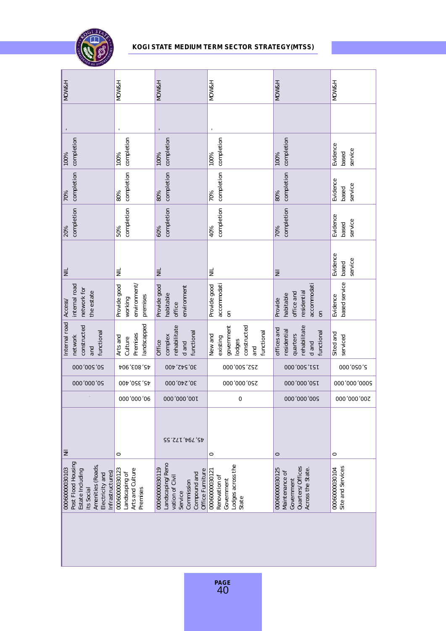

| <b>MOW&amp;H</b>                                                                                                                   | <b>MOW&amp;H</b>                                                 | <b>MOW&amp;H</b>                                                                                                   | <b>MOW&amp;H</b>                                                                       | <b>MOW&amp;H</b>                                                                        | MOW&H                               |
|------------------------------------------------------------------------------------------------------------------------------------|------------------------------------------------------------------|--------------------------------------------------------------------------------------------------------------------|----------------------------------------------------------------------------------------|-----------------------------------------------------------------------------------------|-------------------------------------|
|                                                                                                                                    |                                                                  |                                                                                                                    |                                                                                        |                                                                                         |                                     |
| completion<br>100%                                                                                                                 | completion<br>100%                                               | completion<br>100%                                                                                                 | completion<br>100%                                                                     | completion<br>100%                                                                      | Evidence<br>service<br>based        |
| completion<br>70%                                                                                                                  | completion<br>80%                                                | completion<br>80%                                                                                                  | completion<br>70%                                                                      | completion<br>80%                                                                       | Evidence<br>service<br>based        |
| completion<br>20%                                                                                                                  | completion<br>50%                                                | completion<br>60%                                                                                                  | completion<br>40%                                                                      | completion<br>70%                                                                       | Evidence<br>service<br>based        |
| Ħ                                                                                                                                  | 亖                                                                | 言                                                                                                                  | Ħ                                                                                      | 亖                                                                                       | Evidence<br>service<br>based        |
| internal road<br>network for<br>the estate<br>Access/                                                                              | environment/<br>Provide good<br>premises<br>working              | Provide good<br>environment<br>habitable<br>office                                                                 | accommodati<br>Provide good<br>$\overline{5}$                                          | accommodati<br>residential<br>office and<br>habitable<br>Provide<br>$\overline{5}$      | based service<br>Evidence           |
| Internal road<br>constructed<br>functional<br>network<br>and                                                                       | andscapped<br>Premises<br>Arts and<br>Culture                    | ehabilitate<br>functional<br>complex<br>Office<br>d and                                                            | government<br>constructed<br><b>Eunctional</b><br>New and<br>existing<br>lodges<br>and | ehabilitate<br>offices and<br>residential<br>functional<br>quarters<br>d and            | Sited and<br>serviced               |
| 000'009'09                                                                                                                         | 45,803,904                                                       | 30,542,400                                                                                                         | 252,500,000                                                                            | 000'009'L9L                                                                             | 000'090'9                           |
| 000'000'09                                                                                                                         | 45,350,400                                                       | 30,240,000                                                                                                         | 000'000'097                                                                            | 000'000'09L                                                                             | 000'000'0009                        |
|                                                                                                                                    | 000'000'06                                                       | 000'000'00L                                                                                                        | 0                                                                                      | 000'000'009                                                                             | 000'000'007                         |
| 亖                                                                                                                                  | 0                                                                | 45,794,172.55                                                                                                      | 0                                                                                      | 0                                                                                       | 0                                   |
| Post Flood Housing<br>Amenities (Roads,<br>00060000030103<br>Estate Including<br>Infrastructures)<br>Electricity and<br>its Social | Arts and Culture<br>00060000030123<br>Landscaping of<br>Premises | Landscaping/Reno<br>00060000030119<br>Office Furniture<br>Compound and<br>vation of Civil<br>Commission<br>Service | Lodges across the<br>0006000003012<br>Renovation of<br>Government<br>State             | Quarters/Offices<br>Across the State.<br>00060000030125<br>Maintenance of<br>Government | Site and Services<br>00060000030104 |
|                                                                                                                                    |                                                                  |                                                                                                                    |                                                                                        |                                                                                         |                                     |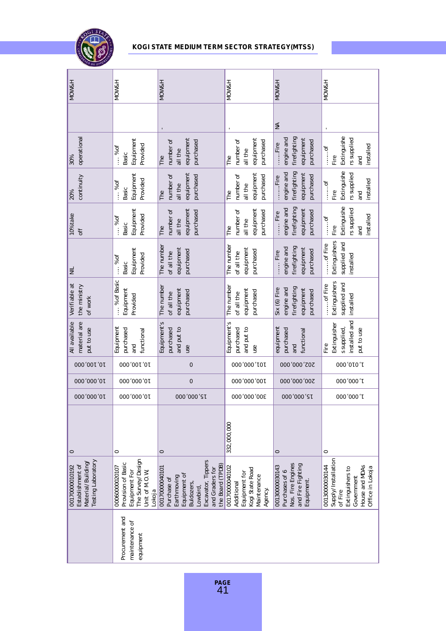

| <b>MOW&amp;H</b>                                                              | MOW&H                                                                                                  | <b>MOW&amp;H</b>                                                                                                                                           | MOW&H                                                                                             | <b>MOW&amp;H</b>                                                                         | <b>MOW&amp;H</b>                                                                                                         |
|-------------------------------------------------------------------------------|--------------------------------------------------------------------------------------------------------|------------------------------------------------------------------------------------------------------------------------------------------------------------|---------------------------------------------------------------------------------------------------|------------------------------------------------------------------------------------------|--------------------------------------------------------------------------------------------------------------------------|
|                                                                               |                                                                                                        |                                                                                                                                                            |                                                                                                   | ₹                                                                                        |                                                                                                                          |
| operational<br>30%                                                            | Equipment<br>Provided<br>$\ldots$ % of<br>Basic                                                        | equipment<br>number of<br>purchased<br>all the<br>The                                                                                                      | equipment<br>number of<br>purchased<br>all the<br><b>The</b>                                      | firefighting<br>engine and<br>equipment<br>purchased<br>Fire                             | Extinguishe<br>rs supplied<br>installed<br>$\dots \dots \dots$ of<br>Fire<br>and                                         |
| continuity<br>20%                                                             | Equipment<br>Provided<br>$\ldots$ . % of<br>Basic                                                      | equipment<br>number of<br>purchased<br>all the<br>The                                                                                                      | equipment<br>number of<br>purchased<br>all the<br>™<br>Fhe                                        | firefighting<br>engine and<br>equipment<br>purchased<br>Fire                             | Extinguishe<br>rs supplied<br>installed<br>$\dots \dots \dots \dots$<br>Fire<br>and                                      |
| 10% take<br>off                                                               | Equipment<br>Provided<br>$\ldots$ . % of<br>Basic                                                      | equipment<br>number of<br>purchased<br>all the<br>The                                                                                                      | equipment<br>number of<br>purchased<br>all the<br>The                                             | firefighting<br>engine and<br>equipment<br>purchased<br>Fire                             | Extinguishe<br>rs supplied<br>installed<br>$\cdots$ of<br>Fire<br>and                                                    |
| 亖                                                                             | Equipment<br>Provided<br>% of<br><b>Basic</b>                                                          | The number<br>equipment<br>purchased<br>of all the                                                                                                         | The number<br>equipment<br>purchased<br>of all the                                                | firefighting<br>engine and<br>equipment<br>purchased<br>Fire                             | Extinguishers<br>supplied and<br>of Fire<br>nstalled                                                                     |
| Verifiable at<br>the ministry<br>of work                                      | % of Basic<br>Equipment<br>Provided                                                                    | The number<br>equipment<br>purchased<br>of all the                                                                                                         | The number<br>equipment<br>purchased<br>of all the                                                | engine and<br>firefighting<br>$Six (6)$ Fire<br>equipment<br>purchased                   | Extinguishers<br>supplied and<br>of Fire<br>installed                                                                    |
| All available<br>material are<br>put to use                                   | Equipment<br>purchased<br>functional<br>and                                                            | Equipment's<br>and put to<br>purchased<br>use                                                                                                              | Equipment's<br>and put to<br>purchased<br>use                                                     | equipment<br>purchased<br>functional<br>and                                              | installed and<br>Extinguisher<br>s supplied,<br>put to use<br>Fire                                                       |
| 000'00L'0L                                                                    | 000'00L'0L                                                                                             | $\mathbf 0$                                                                                                                                                | 000'000'LOL                                                                                       | 202,000,000                                                                              | 000'010'L                                                                                                                |
| 000'000'0L                                                                    | 000'000'0L                                                                                             | $\overline{0}$                                                                                                                                             | 000'000'00L                                                                                       | 000'000'007                                                                              | 000'000'L                                                                                                                |
| 000'000'0L                                                                    | 000'000'0L                                                                                             | 000'000'SL                                                                                                                                                 | 300'000'000                                                                                       | 000'000'SL                                                                               | 000'000'L                                                                                                                |
| $\circ$                                                                       | $\circ$                                                                                                | $\circ$                                                                                                                                                    | 332,000,000                                                                                       | $\circ$                                                                                  | $\circ$                                                                                                                  |
| Testing Laboratory<br>Material/Building<br>Establishment of<br>00170000010192 | The Survey/Design<br>Provision of Basic<br>00060000020107<br>Equipment For<br>Unit of M.O.W,<br>Lokoja | ippers<br>the Board (TPDB)<br>00170000040101<br>and Graders for<br>Equipment o<br>Earthmoving<br>Purchase of<br>Excavator,<br><b>Buldozers</b><br>Lowbird, | 00170000040102<br>Kogi State Road<br>Equipment for<br><b>Maintenance</b><br>Additional<br>Agency. | Nos. Fire Engines<br>and Fire Fighting<br>00130000030143<br>Purchases of 6<br>Equipment. | Supply/Installation<br>House and MDAs<br>00130000030144<br>Extinguishers to<br>Office in Lokoja<br>Government<br>of Fire |
|                                                                               | Procurement and<br>maintenance of<br>equipment                                                         |                                                                                                                                                            |                                                                                                   |                                                                                          |                                                                                                                          |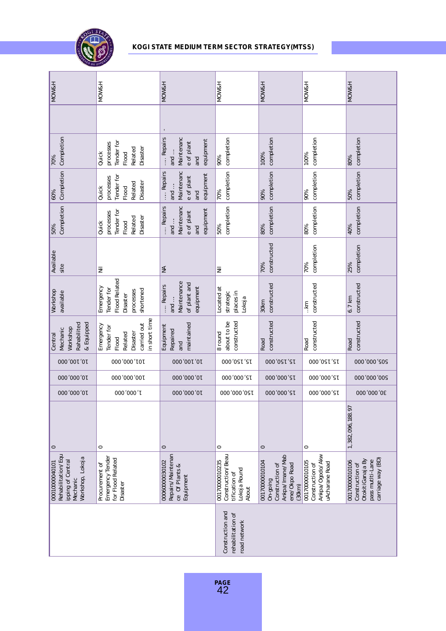

| MOW&H                                                                                     | <b>MOW&amp;H</b>                                                                        | <b>MOW&amp;H</b>                                                   | MOW&H                                                                                | <b>MOW&amp;H</b>                                                                            | MOW&H                                                                  | <b>MOW&amp;H</b>                                                                               |
|-------------------------------------------------------------------------------------------|-----------------------------------------------------------------------------------------|--------------------------------------------------------------------|--------------------------------------------------------------------------------------|---------------------------------------------------------------------------------------------|------------------------------------------------------------------------|------------------------------------------------------------------------------------------------|
|                                                                                           |                                                                                         |                                                                    |                                                                                      |                                                                                             |                                                                        |                                                                                                |
| Completion<br>70%                                                                         | Tender for<br>processes<br>Related<br>Disaster<br>Flood<br>Quick                        | Maintenanc<br>Repairs<br>equipment<br>e of plant<br>and<br>and     | completion<br>90%                                                                    | completion<br>100%                                                                          | completion<br>100%                                                     | completion<br>80%                                                                              |
| Completion<br>60%                                                                         | Tender for<br>processes<br>Disaster<br>Related<br>Flood<br>Quick                        | Repairs<br>Maintenanc<br>equipment<br>e of plant<br>and<br>and     | completion<br>70%                                                                    | completion<br>90%                                                                           | completion<br>90%                                                      | completion<br>50%                                                                              |
| Completion<br>50%                                                                         | Tender for<br>processes<br>Disaster<br>Related<br>Quick<br>Flood                        | Maintenanc<br>Repairs<br>equipment<br>e of plant<br>and<br>and     | completion<br>50%                                                                    | completion<br>80%                                                                           | completion<br>80%                                                      | completion<br>40%                                                                              |
| Available<br>site                                                                         | Ξ                                                                                       | I≦                                                                 | Ξ                                                                                    | constructed<br>70%                                                                          | completion<br>70%                                                      | completion<br>25%                                                                              |
| Workshop<br>available                                                                     | <b>Flood Related</b><br>Emergency<br>Tender for<br>shortened<br>processes<br>Disaster   | Maintenance<br>of plant and<br>Repairs<br>equipment<br>and         | Located at<br>strategic<br>places in<br>Lokoja                                       | constructed<br>30km                                                                         | constructed<br>$\underline{\mathsf{k}}$                                | constructed<br>6.7 km                                                                          |
| Rahabilited<br>& Equipped<br>Workshop<br>Mechanic<br>Central                              | in short time<br>carried out<br>Emergency<br>Tender for<br>Disaster<br>Related<br>Flood | maintained<br>Equipment<br>Repaired<br>and                         | about to be<br>constructed<br>8 round                                                | constructed<br>Road                                                                         | constructed<br>Road                                                    | constructed<br>Road                                                                            |
| 000'001'01                                                                                | 000'000'LOL                                                                             | 000'00L'0L                                                         | 000'09L'9L                                                                           | 15,150,000                                                                                  | 15,150,000                                                             | 000'000'909                                                                                    |
| 000'000'0L                                                                                | 000'000'00L                                                                             | 000'000'0L                                                         | 000'000'SL                                                                           | 000'000'SL                                                                                  | 000'000'SL                                                             | 000'000'009                                                                                    |
| 000'000'0L                                                                                | 000'000'L                                                                               | 000'000'0L                                                         | 000'000'09L                                                                          | 000'000'SL                                                                                  | 000'000'SL                                                             | 000'000'08                                                                                     |
| $\circ$                                                                                   | $\circ$                                                                                 | $\circ$                                                            | $\circ$                                                                              | $\circ$                                                                                     | $\circ$                                                                | 1,382,096,188.97                                                                               |
| Rehabilitation/Equ<br>Workshop, Lokoja<br>ipping of Central<br>00010000040101<br>Mechanic | Emergency Tender<br>for Flood Related<br>Procurement of<br>Disaster                     | Repairs/Maintenan<br>00060000030102<br>ce Of Plants &<br>Equipment | Construction/Beau<br>00170000010235<br>Lokoja Round<br>tification of<br><b>About</b> | Ankpa/Imane/Mab<br>00170000010104<br>ene/Okpo Road<br>Construction of<br>On-going<br>(30km) | Ankpa/Ogodo/Akw<br>00170000010105<br>uAcharane Road<br>Construction of | carriage way (BD)<br>OtokitiGanaja By<br>pass mutiti-Lane<br>00170000010106<br>Construction of |
|                                                                                           |                                                                                         |                                                                    | Construction and<br>rehabilitation of<br>road network                                |                                                                                             |                                                                        |                                                                                                |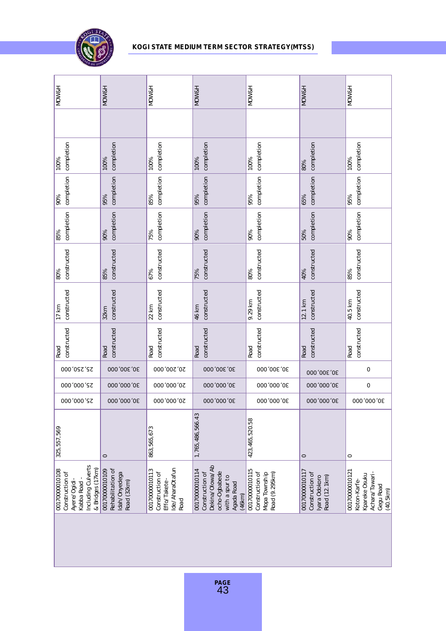

| <b>MOW&amp;H</b>                                                                                         | <b>MOW&amp;H</b>                                                    | <b>MOW&amp;H</b>                                                            | <b>MOW&amp;H</b>                                                                                                | <b>MOW&amp;H</b>                                                     | <b>MOW&amp;H</b>                                                    | MOW&H                                                                                    |
|----------------------------------------------------------------------------------------------------------|---------------------------------------------------------------------|-----------------------------------------------------------------------------|-----------------------------------------------------------------------------------------------------------------|----------------------------------------------------------------------|---------------------------------------------------------------------|------------------------------------------------------------------------------------------|
|                                                                                                          |                                                                     |                                                                             |                                                                                                                 |                                                                      |                                                                     |                                                                                          |
| completion<br>100%                                                                                       | completion<br>100%                                                  | completion<br>100%                                                          | completion<br>100%                                                                                              | completion<br>100%                                                   | completion<br>80%                                                   | completion<br>100%                                                                       |
| completion<br>80%                                                                                        | completion<br>95%                                                   | completion<br>85%                                                           | completion<br>95%                                                                                               | completion<br>95%                                                    | completion<br>65%                                                   | completion<br>95%                                                                        |
| completion<br>85%                                                                                        | completion<br>90%                                                   | completion<br>75%                                                           | completion<br>90%                                                                                               | completion<br>90%                                                    | completion<br>50%                                                   | completion<br>90%                                                                        |
| constructed<br>80%                                                                                       | constructed<br>85%                                                  | constructed<br>67%                                                          | constructed<br>75%                                                                                              | constructed<br>80%                                                   | constructed<br>40%                                                  | constructed<br>85%                                                                       |
| constructed<br>17 km                                                                                     | constructed<br>32km                                                 | constructed<br>$22$ km                                                      | constructed<br>46 km                                                                                            | constructed<br>9.29 km                                               | constructed<br>$12.1 \mathrm{km}$                                   | constructed<br>40.5 km                                                                   |
| constructed<br>Road                                                                                      | constructed<br>Road                                                 | constructed<br>Road                                                         | constructed<br>Road                                                                                             | constructed<br>Road                                                  | constructed<br>Road                                                 | constructed<br>Road                                                                      |
| 25,250,000                                                                                               | 30'300'000                                                          | 20,200,000                                                                  | 30'300'000                                                                                                      | 30'300'000                                                           | 30,300,000                                                          | $\boldsymbol{0}$                                                                         |
| 25,000,000                                                                                               | 000'000'08                                                          | 000'000'07                                                                  | 30'000'000                                                                                                      | 000'000'08                                                           | 30'000'000                                                          | $\mathbf 0$                                                                              |
| 25,000,000                                                                                               | 30'000'000                                                          | 000'000'07                                                                  | 30'000'000                                                                                                      | 000'000'08                                                           | 30'000'000                                                          | 30'000'000                                                                               |
| 325,557,569                                                                                              | $\circ$                                                             | 863,565,673                                                                 | 1,765,486,566.43                                                                                                | 423, 465, 520.58                                                     | $\circ$                                                             | $\circ$                                                                                  |
| Including Culverts<br>& Bridges (17km)<br>00170000010108<br>Construction of<br>Ayere/Ogidi<br>Kabba Road | 00170000010109<br>Rehabilitation of<br>Idah/Onyedega<br>Road (32km) | Ide/AharaOtafun<br>00170000010113<br>Construction of<br>Effo/Takete<br>Road | Dekina/Olowa/Ab<br>00170000010114<br>ocho-Ogbabede<br>Construction of<br>with a spur to<br>Agada Road<br>(46km) | 00170000010115<br>Mopa Township<br>Road (9.295km)<br>Construction of | 00170000010117<br>Construction of<br>Road (12.1km)<br>Iyara Odokoro | 0017000001012<br>Achara/Tawari<br>Kpareke Osuku<br>Koton-Karfe-<br>Gegu Road<br>(40.5km) |
|                                                                                                          |                                                                     |                                                                             |                                                                                                                 |                                                                      |                                                                     |                                                                                          |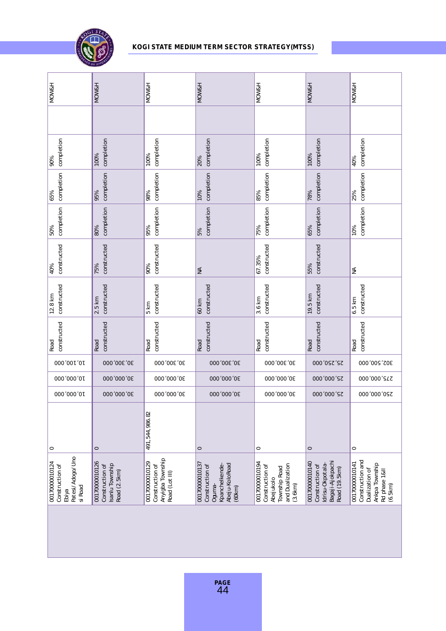

| <b>MOW&amp;H</b>                                                          | <b>MOW&amp;H</b>                                                     | MOW&H                                                                      | <b>MOW&amp;H</b>                                                                          | MOW&H                                                                                         | <b>MOW&amp;H</b>                                                                           | MOW&H                                                                                              |
|---------------------------------------------------------------------------|----------------------------------------------------------------------|----------------------------------------------------------------------------|-------------------------------------------------------------------------------------------|-----------------------------------------------------------------------------------------------|--------------------------------------------------------------------------------------------|----------------------------------------------------------------------------------------------------|
|                                                                           |                                                                      |                                                                            |                                                                                           |                                                                                               |                                                                                            |                                                                                                    |
| completion<br>80%                                                         | completion<br>100%                                                   | completion<br>100%                                                         | completion<br>20%                                                                         | completion<br>$\frac{1}{100\%}$                                                               | completion<br>100%                                                                         | completion<br>40%                                                                                  |
| completion<br>65%                                                         | completion<br>95%                                                    | completion<br>98%                                                          | completion<br>10%                                                                         | completion<br>85%                                                                             | completion<br>78%                                                                          | completion<br>25%                                                                                  |
| completion<br>50%                                                         | completion<br>80%                                                    | completion<br>95%                                                          | completion<br>5%                                                                          | completion<br>75%                                                                             | completion<br>65%                                                                          | completion<br>10%                                                                                  |
| constructed<br>40%                                                        | constructed<br>75%                                                   | constructed<br>90%                                                         | $\leq$                                                                                    | constructed<br>67.35%                                                                         | constructed<br>55%                                                                         | $\lessgtr$                                                                                         |
| constructed<br>$\frac{12.8 \text{ km}}{12.8 \text{ km}}$                  | constructed<br>$2.5 \, \text{km}$                                    | constructed<br>$5 \, \mathrm{km}$                                          | constructed<br>60 km                                                                      | constructed<br>3.6 km                                                                         | constructed<br>19.5 km                                                                     | constructed<br>$6.5 \text{ km}$                                                                    |
| constructed<br>Road                                                       | constructed<br>Road                                                  | constructed<br>Road                                                        | constructed<br>Road                                                                       | constructed<br>Road                                                                           | constructed<br>Road                                                                        | constructed<br>Road                                                                                |
| 000'00L'0L                                                                | 30,300,000                                                           | 30,300,000                                                                 | 30'300'000                                                                                | 30,300,000                                                                                    | 25,250,000                                                                                 | 302'200'000                                                                                        |
| 000'000'0L                                                                | 000'000'08                                                           | 30'000'000                                                                 | 30'000'000                                                                                | 000'000'08                                                                                    | 25,000,000                                                                                 | 275,000,000                                                                                        |
| 000'000'0L                                                                | 000'000'08                                                           | 30'000'000                                                                 | 30'000'000                                                                                | 000'000'08                                                                                    | 25,000,000                                                                                 | 250,000,000                                                                                        |
| $\circ$                                                                   | $\circ$                                                              | 491,544,986.82                                                             | $\circ$                                                                                   | $\circ$                                                                                       | $\circ$                                                                                    | $\circ$                                                                                            |
| Patesi/Adogo/Uno<br>00170000010124<br>Construction of<br>si Road<br>Ebiya | 00170000010126<br>Isanlu Township<br>Construction of<br>Road (2.5km) | Anyigba<br>Township<br>00170000010129<br>Construction of<br>Road (Lot III) | 00170000010137<br>Kpanchelkende-<br>Abeju-KoloRoad<br>Construction of<br>Oguma-<br>(60km) | 00170000010194<br>and Dualization<br>Construction of<br>Township Road<br>Abejukolo<br>(3.6km) | Bagaji-Ajokpachi<br>Road (19.5km)<br>00170000010140<br>Idrisu-Okpotala-<br>Construction of | Construction and<br>00170000010141<br>Ankpa Township<br>Dualization of<br>Rd phase 1&II<br>(6.5km) |
|                                                                           |                                                                      |                                                                            |                                                                                           |                                                                                               |                                                                                            |                                                                                                    |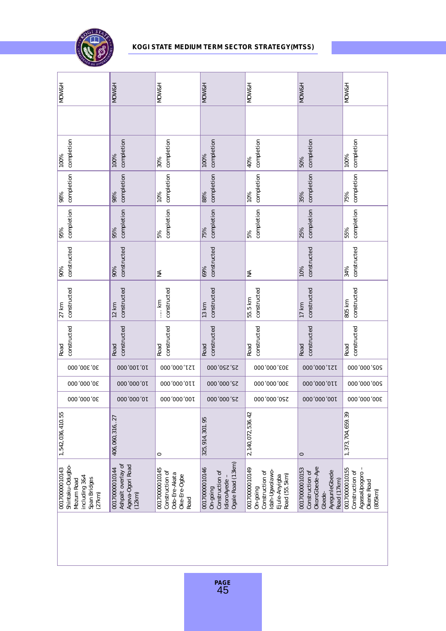

| <b>MOW&amp;H</b>                                                                            | MOW&H                                                              | MOW&H                                                                      | <b>MOW&amp;H</b>                                                                    | MOW&H                                                                                             | <b>MOW&amp;H</b>                                                                              | MOW&H                                                                         |
|---------------------------------------------------------------------------------------------|--------------------------------------------------------------------|----------------------------------------------------------------------------|-------------------------------------------------------------------------------------|---------------------------------------------------------------------------------------------------|-----------------------------------------------------------------------------------------------|-------------------------------------------------------------------------------|
|                                                                                             |                                                                    |                                                                            |                                                                                     |                                                                                                   |                                                                                               |                                                                               |
| completion<br>100%                                                                          | completion<br>100%                                                 | completion<br>30%                                                          | completion<br>100%                                                                  | completion<br>40%                                                                                 | completion<br>50%                                                                             | completion<br>100%                                                            |
| completion<br>88%                                                                           | completion<br>98%                                                  | completion<br>10%                                                          | completion<br>88%                                                                   | completion<br>10%                                                                                 | completion<br>35%                                                                             | completion<br>75%                                                             |
| completion<br>95%                                                                           | completion<br>95%                                                  | completion<br>5%                                                           | completion<br>75%                                                                   | completion<br>5%                                                                                  | completion<br>25%                                                                             | completion<br>55%                                                             |
| constructed<br>80%                                                                          | constructed<br>90%                                                 | ₹                                                                          | constructed<br>69%                                                                  | ₹                                                                                                 | constructed<br>10%                                                                            | constructed<br>34%                                                            |
| constructed<br>27 km                                                                        | constructed<br>12 km                                               | constructed<br>$\dots$ km                                                  | constructed<br>13 km                                                                | constructed<br>55.5 km                                                                            | constructed<br>17 km                                                                          | constructed<br>805 km                                                         |
| constructed<br>Road                                                                         | constructed<br>Road                                                | constructed<br>Road                                                        | constructed<br>Road                                                                 | constructed<br>Road                                                                               | constructed<br>Road                                                                           | constructed<br>Road                                                           |
| 30,300,000                                                                                  | 000'00L'0L                                                         | 000'000'LZL                                                                | 25,250,000                                                                          | 303'000'000                                                                                       | 000'000'LZL                                                                                   | 000'000'909                                                                   |
| 000'000'08                                                                                  | 000'000'0L                                                         | 000'000'0LL                                                                | 25,000,000                                                                          | 000'000'008                                                                                       | 000'000'0LL                                                                                   | 000'000'009                                                                   |
| 30'000'000                                                                                  | 000'000'0L                                                         | 000'000'00L                                                                | 25,000,000                                                                          | 250,000,000                                                                                       | 000'000'00L                                                                                   | 300'000'000                                                                   |
| 1,542,036,410.55                                                                            | 406,060,316,.27                                                    | $\circ$                                                                    | 325, 914, 301.95                                                                    | 2, 140, 072, 536. 42                                                                              | $\circ$                                                                                       | 1,373,704,659.39                                                              |
| Shintaku-Odugbo-<br>00170000010143<br>including 3&4<br>Span Bridges<br>Mozum Road<br>(27km) | Ashpalt overlay of<br>Ageva-Ogori Road<br>(12km)<br>00170000010144 | 00170000010145<br>Construction of<br>Odo-Ere-Akata<br>Oke-Ere-Ogbe<br>Road | Ogale Road (13km)<br>00170000010146<br>Construction of<br>IdioroAyede -<br>On-going | 00170000010149<br>Idah-Ugwolawo-<br>Construction of<br>Ejule-Anyigba<br>Road (55.5km)<br>On-going | OkoroGbede-Aye<br>00170000010153<br>AyegunleGbede<br>Construction of<br>Road (17km)<br>Gbede- | 00170000010155<br>AgassaUpogoro -<br>Construction of<br>Okene Road<br>(805km) |
|                                                                                             |                                                                    |                                                                            |                                                                                     |                                                                                                   |                                                                                               |                                                                               |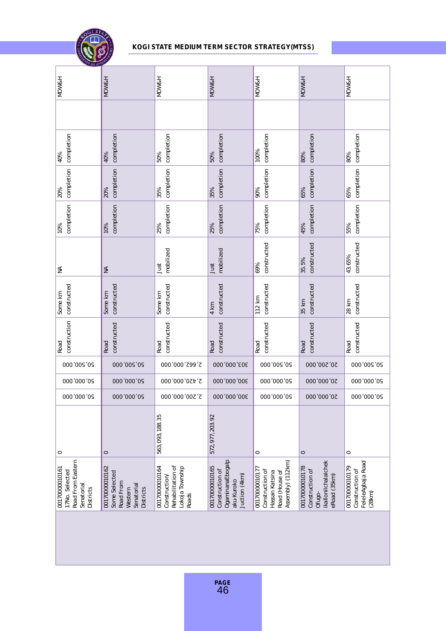

| <b>MOW&amp;H</b>                                                                 | <b>MOW&amp;H</b>                                                                   | MOW&H                                                                           | <b>MOW&amp;H</b>                                                                     | <b>MOW&amp;H</b>                                                                          | <b>MOW&amp;H</b>                                                                   | MOW&H                                                            |
|----------------------------------------------------------------------------------|------------------------------------------------------------------------------------|---------------------------------------------------------------------------------|--------------------------------------------------------------------------------------|-------------------------------------------------------------------------------------------|------------------------------------------------------------------------------------|------------------------------------------------------------------|
|                                                                                  |                                                                                    |                                                                                 |                                                                                      |                                                                                           |                                                                                    |                                                                  |
| completion<br>40%                                                                | completion<br>40%                                                                  | completion<br>50%                                                               | completion<br>50%                                                                    | completion<br>100%                                                                        | completion<br>80%                                                                  | completion<br>80%                                                |
| completion<br>20%                                                                | completion<br>20%                                                                  | completion<br>35%                                                               | completion<br>35%                                                                    | completion<br>90%                                                                         | completion<br>65%                                                                  | completion<br>65%                                                |
| completion<br>10%                                                                | completion<br>10%                                                                  | completion<br>25%                                                               | completion<br>25%                                                                    | completion<br>75%                                                                         | completion<br>45%                                                                  | completion<br>55%                                                |
| ∣≨                                                                               | $\lessgtr$                                                                         | mobilized<br>Just                                                               | mobilized<br>Just                                                                    | constructed<br>69%                                                                        | constructed<br>35.5%                                                               | constructed<br>43.65%                                            |
| constructed<br>Some km                                                           | constructed<br>Some km                                                             | constructed<br>Some km                                                          | constructed<br>4 km                                                                  | constructed<br>112 km                                                                     | constructed<br>35 km                                                               | constructed<br>28 km                                             |
| construction<br>Road                                                             | constructed<br>Road                                                                | constructed<br>Road                                                             | constructed<br>Road                                                                  | constructed<br>Road                                                                       | constructed<br>Road                                                                | constructed<br>Road                                              |
| 000'009'09                                                                       | 000'009'09                                                                         | 2,662,000,000                                                                   | 303'000'000                                                                          | 000'009'09                                                                                | 000'007'07                                                                         | 000'009'09                                                       |
| 000'000'09                                                                       | 000'000'09                                                                         | 2,420,000,000                                                                   | 300'000'000                                                                          | 000'000'09                                                                                | 000'000'07                                                                         | 000'000'09                                                       |
| 000'000'09                                                                       | 000'000'09                                                                         | 2,200,000,000                                                                   | 300'000'000                                                                          | 000'000'09                                                                                | 000'000'07                                                                         | 000'000'09                                                       |
| $\circ$                                                                          | $\circ$                                                                            | 563,093,188.35                                                                  | 572, 977, 203.92                                                                     | 0                                                                                         | $\circ$                                                                            | $\circ$                                                          |
| Road From Eastern<br>00170000010161<br>17No. Selected<br>Senatorial<br>Districts | 00170000010162<br>Some Selected<br>Road From<br>Senatorial<br>Western<br>Districts | Rehabilitation of<br>Lokoja Township<br>00170000010164<br>Construction<br>Roads | OgaminanaEbogalp<br>00170000010165<br>Construction of<br>Juction (4km)<br>aku-Kuroko | Assembly) (112km)<br>0017000001017<br>Road (House of<br>Construction of<br>Hassan Katsina | ikallonilchalalchek<br>00170000010178<br>Construction of<br>eRoad (35km)<br>Ofugo- | FeleleAgbaja Road<br>00170000010179<br>Construction of<br>(28km) |
|                                                                                  |                                                                                    |                                                                                 |                                                                                      |                                                                                           |                                                                                    |                                                                  |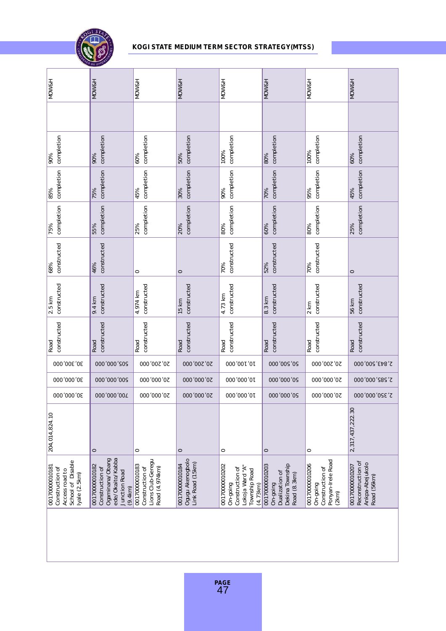

| <b>MOW&amp;H</b>                                                                          | MOW&H                                                                                                | MOW&H                                                                    | <b>MOW&amp;H</b>                                       | MOW&H                                                                                         | MOW&H                                                                           | MOW&H                                                                       | <b>MOW&amp;H</b>                                                      |
|-------------------------------------------------------------------------------------------|------------------------------------------------------------------------------------------------------|--------------------------------------------------------------------------|--------------------------------------------------------|-----------------------------------------------------------------------------------------------|---------------------------------------------------------------------------------|-----------------------------------------------------------------------------|-----------------------------------------------------------------------|
|                                                                                           |                                                                                                      |                                                                          |                                                        |                                                                                               |                                                                                 |                                                                             |                                                                       |
| completion<br>90%                                                                         | completion<br>90%                                                                                    | completion<br>60%                                                        | completion<br>50%                                      | completion<br>100%                                                                            | completion<br>80%                                                               | completion<br>100%                                                          | completion<br>60%                                                     |
| completion<br>85%                                                                         | completion<br>75%                                                                                    | completion<br>45%                                                        | completion<br>30%                                      | completion<br>90%                                                                             | completion<br>70%                                                               | completion<br>95%                                                           | completion<br>45%                                                     |
| completion<br>75%                                                                         | completion<br>55%                                                                                    | completion<br>25%                                                        | completion<br>20%                                      | completion<br>80%                                                                             | completion<br>60%                                                               | completion<br>80%                                                           | completion<br>25%                                                     |
| constructed<br>68%                                                                        | constructed<br>46%                                                                                   | $\circ$                                                                  | $\circ$                                                | constructed<br>70%                                                                            | constructed<br>52%                                                              | constructed<br>70%                                                          | $\circ$                                                               |
| constructed<br>$2.5 \text{ km}$                                                           | constructed<br>9.4 km                                                                                | constructed<br>4.974 km                                                  | constructed<br>15 km                                   | constructed<br>$4.73 \text{ km}$                                                              | constructed<br>8.3 km                                                           | constructed<br>2 km                                                         | constructed<br>56 km                                                  |
| constructed<br>Road                                                                       | constructed<br>Road                                                                                  | constructed<br>Road                                                      | constructed<br>Road                                    | constructed<br>Road                                                                           | constructed<br>Road                                                             | constructed<br>Road                                                         | constructed<br>Road                                                   |
| 30'300'000                                                                                | 000'000'909                                                                                          | 000'007'07                                                               | 000'007'07                                             | 000'00L'0L                                                                                    | 000'009'09                                                                      | 20,200,000                                                                  | 2,843,500,000                                                         |
| 000'000'08                                                                                | 000'000'009                                                                                          | 000'000'07                                                               | 000'000'07                                             | 000'000'0L                                                                                    | 000'000'09                                                                      | 000'000'07                                                                  | 2,585,000,000                                                         |
| 30'000'000                                                                                | 000'000'00L                                                                                          | 000'000'07                                                               | 000'000'07                                             | 000'000'0L                                                                                    | 000'000'09                                                                      | 000'000'07                                                                  | 2,350,000,000                                                         |
| 204, 014, 824. 10                                                                         | $\circ$                                                                                              | $\circ$                                                                  | $\circ$                                                | $\circ$                                                                                       | $\circ$                                                                         | $\circ$                                                                     | 2, 317, 437, 222.30                                                   |
| School of Disable<br>00170000010181<br>Construction of<br>Access road to<br>lyale (2.5km) | ede/Okaito/Kabba<br>Ogaminana/Obang<br>00170000010182<br>Construction of<br>Junction Road<br>(9.4km) | Lions Club-Geregu<br>00170000010183<br>Construction of<br>Road (4.974km) | Ogugu Akenogbolo<br>Link Road (15km)<br>00170000010184 | 00170000010202<br>Lokoja Ward "A"<br>Construction of<br>Township Road<br>On-going<br>(4.73km) | 00170000010203<br>Dekina Township<br>On-going<br>Dualization of<br>Road (8.3km) | Ponyan-Irele Road<br>00170000010206<br>Construction of<br>On-going<br>(2km) | Reconstruction of<br>Ankpa-Abejukolo<br>00170000010207<br>Road (56km) |
|                                                                                           |                                                                                                      |                                                                          |                                                        |                                                                                               |                                                                                 |                                                                             |                                                                       |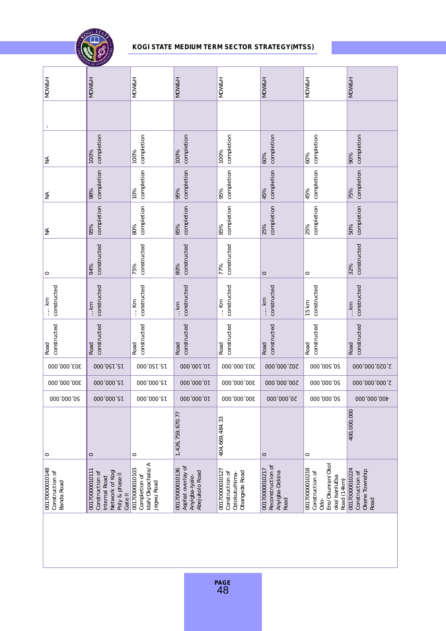

| <b>MOW&amp;H</b>                                | <b>MOW&amp;H</b>                                                                                    | MOW&H                                                             | MOW&H                                                                   | <b>MOW&amp;H</b>                                                     | <b>MOW&amp;H</b>                                              | <b>MOW&amp;H</b>                                                                              | <b>MOW&amp;H</b>                                            |
|-------------------------------------------------|-----------------------------------------------------------------------------------------------------|-------------------------------------------------------------------|-------------------------------------------------------------------------|----------------------------------------------------------------------|---------------------------------------------------------------|-----------------------------------------------------------------------------------------------|-------------------------------------------------------------|
| J.                                              |                                                                                                     |                                                                   |                                                                         |                                                                      |                                                               |                                                                                               |                                                             |
| Ι≨                                              | completion<br>100%                                                                                  | completion<br>100%                                                | completion<br>100%                                                      | completion<br>100%                                                   | completion<br>60%                                             | completion<br>60%                                                                             | completion<br>90%                                           |
| Ι≨                                              | completion<br>98%                                                                                   | completion<br>$10\%$                                              | completion<br>95%                                                       | completion<br>95%                                                    | completion<br>45%                                             | completion<br>45%                                                                             | completion<br>75%                                           |
| Ι≨                                              | completion<br>95%                                                                                   | completion<br>80%                                                 | completion<br>85%                                                       | completion<br>85%                                                    | completion<br>25%                                             | completion<br>25%                                                                             | completion<br>50%                                           |
| $\circ$                                         | constructed<br>94%                                                                                  | constructed<br>75%                                                | constructed<br>80%                                                      | constructed<br>77%                                                   | $\circ$                                                       | $\circ$                                                                                       | constructed<br>32%                                          |
| constructed<br>$\ldots$ km                      | constructed<br>$\frac{1}{2}$                                                                        | constructed<br>$\overline{mn}$                                    | constructed<br>$$ km                                                    | constructed<br>$\sum_{i=1}^{n}$                                      | constructed<br>$\ldots$ . km                                  | constructed<br>15 km                                                                          | constructed<br>$\overline{km}$                              |
| constructed<br>Road                             | constructed<br>Road                                                                                 | constructed<br>Road                                               | constructed<br>Road                                                     | constructed<br>Road                                                  | constructed<br>Road                                           | constructed<br>Road                                                                           | constructed<br>Road                                         |
| 303'000'000                                     | 15,150,000                                                                                          | 15,150,000                                                        | 000'00L'0L                                                              | 000'000'008                                                          | 202,000,000                                                   | 000'009'09                                                                                    | 2,020,000,000                                               |
| 300'000'000                                     | 000'000'SL                                                                                          | 000'000'SL                                                        | 000'000'0L                                                              | 300'000'000                                                          | 000'000'007                                                   | 000'000'09                                                                                    | 000'000'000'Z                                               |
| 000'000'09                                      | 000'000'SL                                                                                          | 000'000'SL                                                        | 000'000'0L                                                              | 000'000'008                                                          | 000'000'07                                                    | 000'000'09                                                                                    | 000'000'007                                                 |
| $\circ$                                         | $\circ$                                                                                             | $\circ$                                                           | 1,426,759,670.77                                                        | 404,669,484.33                                                       | $\circ$                                                       | $\circ$                                                                                       | 400,000,000                                                 |
| 00170000010148<br>Construction of<br>Banda Road | 00170000010111<br>Network of Kogi<br>Construction of<br>Poly & phase II<br>Gate II<br>Internal Road | Idah/Okpachala/A<br>00170000010103<br>Completion of<br>jegwu Road | Asphat overlay of<br>00170000010136<br>Abejukolo Road<br>Anyigba-Iyale- | 00170000010127<br>Obangede Road<br>Construction of<br>Oziokutulhima- | Reconstruction of<br>00170000010217<br>Anyigba-Dekina<br>Road | Ere/Okunran/Okol<br>00170000010218<br>Construction of<br>oke/IsanluEsa<br>Road (14km)<br>Odo- | Okene Township<br>00170000010224<br>Construction of<br>Road |
|                                                 |                                                                                                     |                                                                   |                                                                         |                                                                      |                                                               |                                                                                               |                                                             |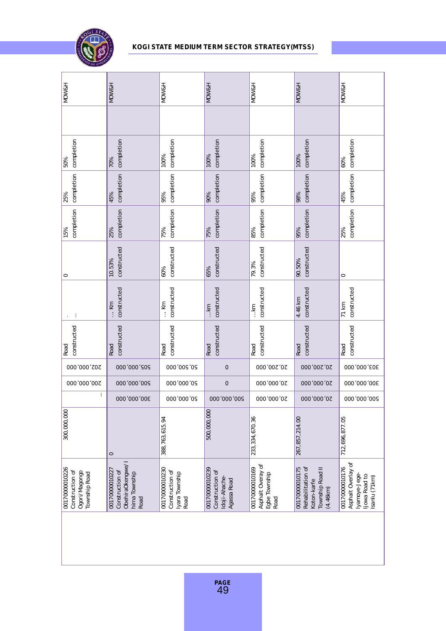

| <b>MOW&amp;H</b>                                                    | <b>MOW&amp;H</b>                                                              | <b>MOW&amp;H</b>                                            | <b>MOW&amp;H</b>                                                  | MOW&H                                                        | <b>MOW&amp;H</b>                                                                  | <b>MOW&amp;H</b>                                                                             |
|---------------------------------------------------------------------|-------------------------------------------------------------------------------|-------------------------------------------------------------|-------------------------------------------------------------------|--------------------------------------------------------------|-----------------------------------------------------------------------------------|----------------------------------------------------------------------------------------------|
|                                                                     |                                                                               |                                                             |                                                                   |                                                              |                                                                                   |                                                                                              |
| completion<br>50%                                                   | completion<br>70%                                                             | completion<br>100%                                          | completion<br>100%                                                | completion<br>100%                                           | completion<br>100%                                                                | completion<br>60%                                                                            |
| completion<br>25%                                                   | completion<br>45%                                                             | completion<br>95%                                           | completion<br>90%                                                 | completion<br>95%                                            | completion<br>98%                                                                 | completion<br>45%                                                                            |
| completion<br>15%                                                   | completion<br>25%                                                             | completion<br>75%                                           | completion<br>75%                                                 | completion<br>85%                                            | completion<br>95%                                                                 | completion<br>25%                                                                            |
| $\circ$                                                             | constructed<br>10.53%                                                         | constructed<br>60%                                          | constructed<br>65%                                                | constructed<br>79.3%                                         | constructed<br>90.50%                                                             | $\circ$                                                                                      |
| -1<br>$\bar{\xi}$                                                   | constructed<br>$\ldots$ Km                                                    | constructed<br>$$ Km                                        | constructed<br>$\vdots$                                           | constructed<br>$\sum_{i=1}^{n}$                              | constructed<br>4.46 km                                                            | constructed<br>71 km                                                                         |
| constructed<br>Road                                                 | constructed<br>Road                                                           | constructed<br>Road                                         | constructed<br>Road                                               | constructed<br>Road                                          | constructed<br>Road                                                               | constructed<br>Road                                                                          |
| 000'000'Z0Z                                                         | 000'000'909                                                                   | 000'009'09                                                  | $\mathbf 0$                                                       | 20,200,000                                                   | 20,200,000                                                                        | 303'000'000                                                                                  |
| 000'000'007                                                         | 000'000'009                                                                   | 000'000'09                                                  | $\boldsymbol{0}$                                                  | 000'000'07                                                   | 000'000'07                                                                        | 000'000'008                                                                                  |
| $\ddot{\ddot{\rm}}$                                                 | 300'000'000                                                                   | 000'000'09                                                  | 000'000'009                                                       | 000'000'07                                                   | 000'000'07                                                                        | 000'000'009                                                                                  |
| 300,000,000                                                         | $\circ$                                                                       | 388,763,615.94                                              | 500,000,000                                                       | 233, 334, 670.36                                             | 267, 857, 214.00                                                                  | 712,696,877.05                                                                               |
| 00170000010226<br>Construction of<br>Ogori/Magongo<br>Township Road | ObehiraOkengwe/<br>00170000010227<br>Construction of<br>hima Township<br>Road | 00170000010230<br>Construction of<br>lyara Township<br>Road | 00170000010239<br>Construction of<br>Idoji-Ahache-<br>Agassa Road | Asphalt Overay of<br>00170000010169<br>Egbe Township<br>Road | Rehabilitation of<br>00170000010175<br>Township Road I<br>(4.46km)<br>Koton-karfe | Asphalt Overlay of<br>00170000010176<br>lyamoye-Jege-<br><b>Jowa</b> Road to<br>sanlu (71km) |
|                                                                     |                                                                               |                                                             |                                                                   |                                                              |                                                                                   |                                                                                              |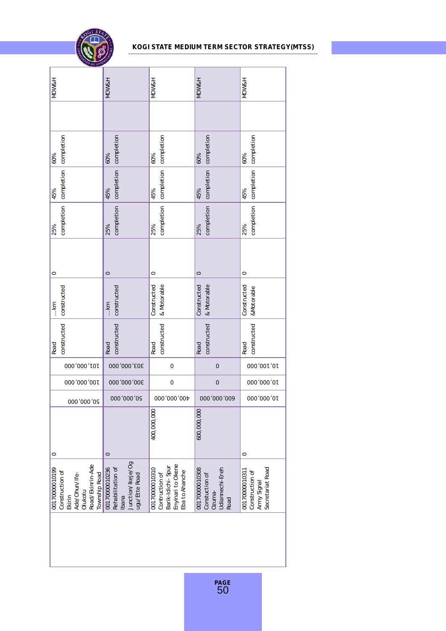

| MOW&H                                                                                                             | MOW&H                                                                             | MOW&H                                                                                         | MOW&H                                                                 | MOW&H                                                                |  |  |
|-------------------------------------------------------------------------------------------------------------------|-----------------------------------------------------------------------------------|-----------------------------------------------------------------------------------------------|-----------------------------------------------------------------------|----------------------------------------------------------------------|--|--|
|                                                                                                                   |                                                                                   |                                                                                               |                                                                       |                                                                      |  |  |
| 60%                                                                                                               | completion<br>60%                                                                 | 60%                                                                                           | completion<br>60%                                                     | completion<br>60%                                                    |  |  |
| completion   completion   completion<br>45%                                                                       | completion<br>45%                                                                 | completion   completion<br>45%                                                                | completion<br>45%                                                     | completion<br>45%                                                    |  |  |
| 25%                                                                                                               | completion<br>25%                                                                 | completion<br>25%                                                                             | completion<br>25%                                                     | completion<br>25%                                                    |  |  |
| $\circ$                                                                                                           | $\circ$                                                                           | $\circ$                                                                                       | $\circ$                                                               | $\circ$                                                              |  |  |
| constructed<br>$\sum_{i=1}^{n}$                                                                                   | constructed<br>$$ km                                                              | & Motorable<br>Constructed                                                                    | & Motorable<br>Constructed                                            | Constructed<br>&Motorable                                            |  |  |
| constructed<br>Road                                                                                               | constructed<br>Road                                                               | constructed<br>Road                                                                           | constructed<br>Road                                                   | constructed<br>Road                                                  |  |  |
| 000'000'LOL                                                                                                       | 303'000'000                                                                       | $\mathsf{O}\xspace$                                                                           | $\mathbf 0$                                                           | 000'00L'0L                                                           |  |  |
| 000'000'00L                                                                                                       | 300'000'000                                                                       | $\mathsf{O}\xspace$                                                                           | $\mathbf 0$                                                           | 000'000'0L                                                           |  |  |
| 000'000'09                                                                                                        | 000'000'09                                                                        | 000'000'007                                                                                   | 000'000'009                                                           | 000'000'0L                                                           |  |  |
| $\circ$                                                                                                           | 0                                                                                 | 400,000,000                                                                                   | 600,000,000                                                           | 0                                                                    |  |  |
| Ekirin<br>  Ade/Ohun/Ife-<br>  Olukotu<br>  Township Road<br>  Township Road<br>00170000010199<br>Construction of | Junction/Ikeje/Og<br>00170000010236<br>Rehabilitation of<br>ugu/Ette Road<br>bana | 00170000010310<br>Contruction of<br>Barik-Idichi- Spur<br>Enyinari to Okene<br>Eba to Ahanche | 00170000010308<br>Udiannechi-Ereh<br>Road<br>Constuction of<br>Ozuma- | Construction of<br>Army Signal<br>Secretariat Road<br>00170000010311 |  |  |
|                                                                                                                   |                                                                                   |                                                                                               |                                                                       |                                                                      |  |  |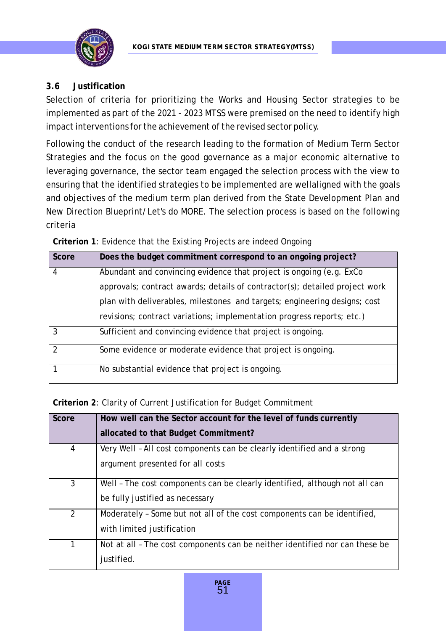

## **3.6 Justification**

Selection of criteria for prioritizing the Works and Housing Sector strategies to be implemented as part of the 2021 - 2023 MTSS were premised on the need to identify high impact interventions for the achievement of the revised sector policy.

Following the conduct of the research leading to the formation of Medium Term Sector Strategies and the focus on the good governance as a major economic alternative to leveraging governance, the sector team engaged the selection process with the view to ensuring that the identified strategies to be implemented are wellaligned with the goals and objectives of the medium term plan derived from the State Development Plan and New Direction Blueprint/Let's do MORE. The selection process is based on the following criteria

**Criterion 1**: Evidence that the Existing Projects are indeed Ongoing

| Score | Does the budget commitment correspond to an ongoing project?                |
|-------|-----------------------------------------------------------------------------|
| 4     | Abundant and convincing evidence that project is ongoing (e.g. ExCo         |
|       | approvals; contract awards; details of contractor(s); detailed project work |
|       | plan with deliverables, milestones and targets; engineering designs; cost   |
|       | revisions; contract variations; implementation progress reports; etc.)      |
| 3     | Sufficient and convincing evidence that project is ongoing.                 |
|       | Some evidence or moderate evidence that project is ongoing.                 |
|       | No substantial evidence that project is ongoing.                            |

**Criterion 2**: Clarity of Current Justification for Budget Commitment

| Score          | How well can the Sector account for the level of funds currently<br>allocated to that Budget Commitment?      |
|----------------|---------------------------------------------------------------------------------------------------------------|
| 4              | Very Well - All cost components can be clearly identified and a strong<br>argument presented for all costs    |
| 3              | Well - The cost components can be clearly identified, although not all can<br>be fully justified as necessary |
| $\overline{2}$ | Moderately - Some but not all of the cost components can be identified,<br>with limited justification         |
|                | Not at all - The cost components can be neither identified nor can these be<br>justified.                     |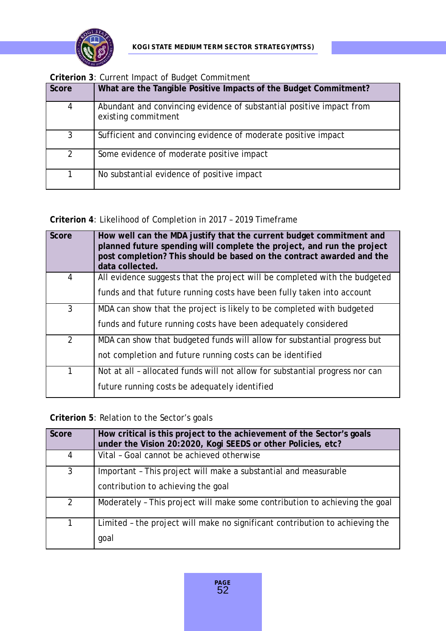

**Criterion 3**: Current Impact of Budget Commitment

| Score | What are the Tangible Positive Impacts of the Budget Commitment?                            |
|-------|---------------------------------------------------------------------------------------------|
| 4     | Abundant and convincing evidence of substantial positive impact from<br>existing commitment |
| 3     | Sufficient and convincing evidence of moderate positive impact                              |
| 2     | Some evidence of moderate positive impact                                                   |
|       | No substantial evidence of positive impact                                                  |

**Criterion 4**: Likelihood of Completion in 2017 – 2019 Timeframe

| Score          | How well can the MDA justify that the current budget commitment and<br>planned future spending will complete the project, and run the project<br>post completion? This should be based on the contract awarded and the<br>data collected. |
|----------------|-------------------------------------------------------------------------------------------------------------------------------------------------------------------------------------------------------------------------------------------|
| $\overline{4}$ | All evidence suggests that the project will be completed with the budgeted<br>funds and that future running costs have been fully taken into account                                                                                      |
| 3              | MDA can show that the project is likely to be completed with budgeted<br>funds and future running costs have been adequately considered                                                                                                   |
| $\mathcal{P}$  | MDA can show that budgeted funds will allow for substantial progress but<br>not completion and future running costs can be identified                                                                                                     |
| 1              | Not at all - allocated funds will not allow for substantial progress nor can<br>future running costs be adequately identified                                                                                                             |

**Criterion 5**: Relation to the Sector's goals

| Score | How critical is this project to the achievement of the Sector's goals<br>under the Vision 20:2020, Kogi SEEDS or other Policies, etc? |
|-------|---------------------------------------------------------------------------------------------------------------------------------------|
|       | Vital - Goal cannot be achieved otherwise                                                                                             |
| 3     | Important - This project will make a substantial and measurable<br>contribution to achieving the goal                                 |
| 2     | Moderately - This project will make some contribution to achieving the goal                                                           |
| 1     | Limited - the project will make no significant contribution to achieving the<br>goal                                                  |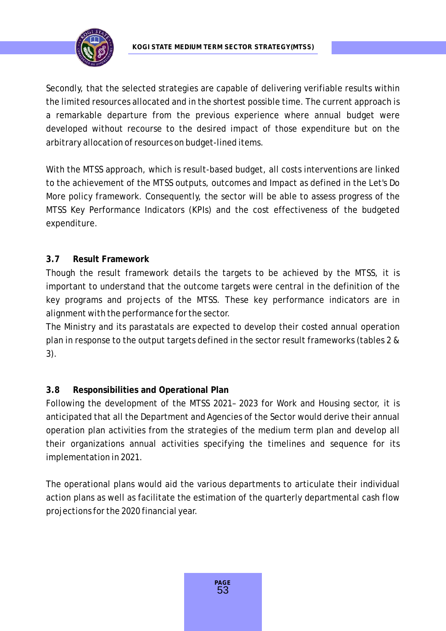

Secondly, that the selected strategies are capable of delivering verifiable results within the limited resources allocated and in the shortest possible time. The current approach is a remarkable departure from the previous experience where annual budget were developed without recourse to the desired impact of those expenditure but on the arbitrary allocation of resources on budget-lined items.

With the MTSS approach, which is result-based budget, all costs interventions are linked to the achievement of the MTSS outputs, outcomes and Impact as defined in the Let's Do More policy framework. Consequently, the sector will be able to assess progress of the MTSS Key Performance Indicators (KPIs) and the cost effectiveness of the budgeted expenditure.

## **3.7 Result Framework**

Though the result framework details the targets to be achieved by the MTSS, it is important to understand that the outcome targets were central in the definition of the key programs and projects of the MTSS. These key performance indicators are in alignment with the performance for the sector.

The Ministry and its parastatals are expected to develop their costed annual operation plan in response to the output targets defined in the sector result frameworks (tables 2 & 3).

## **3.8 Responsibilities and Operational Plan**

Following the development of the MTSS 2021– 2023 for Work and Housing sector, it is anticipated that all the Department and Agencies of the Sector would derive their annual operation plan activities from the strategies of the medium term plan and develop all their organizations annual activities specifying the timelines and sequence for its implementation in 2021.

The operational plans would aid the various departments to articulate their individual action plans as well as facilitate the estimation of the quarterly departmental cash flow projections for the 2020 financial year.

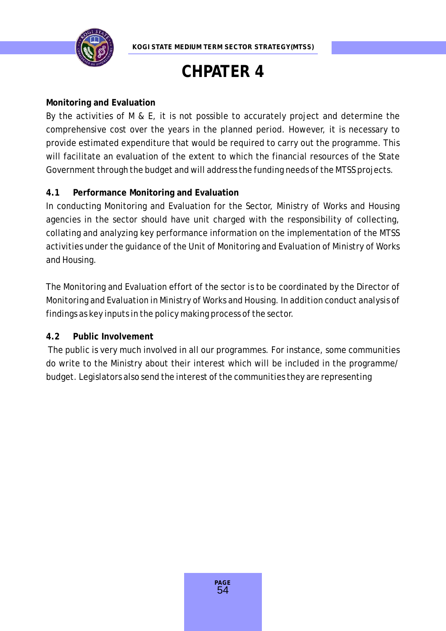

## **CHPATER 4**

## **Monitoring and Evaluation**

By the activities of M & E, it is not possible to accurately project and determine the comprehensive cost over the years in the planned period. However, it is necessary to provide estimated expenditure that would be required to carry out the programme. This will facilitate an evaluation of the extent to which the financial resources of the State Government through the budget and will address the funding needs of the MTSS projects.

## **4.1 Performance Monitoring and Evaluation**

In conducting Monitoring and Evaluation for the Sector, Ministry of Works and Housing agencies in the sector should have unit charged with the responsibility of collecting, collating and analyzing key performance information on the implementation of the MTSS activities under the guidance of the Unit of Monitoring and Evaluation of Ministry of Works and Housing.

The Monitoring and Evaluation effort of the sector is to be coordinated by the Director of Monitoring and Evaluation in Ministry of Works and Housing. In addition conduct analysis of findings as key inputs in the policy making process of the sector.

## **4.2 Public Involvement**

The public is very much involved in all our programmes. For instance, some communities do write to the Ministry about their interest which will be included in the programme/ budget. Legislators also send the interest of the communities they are representing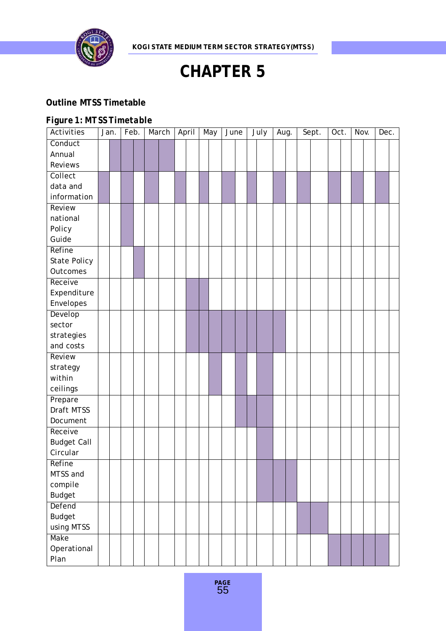

# **CHAPTER 5**

## **Outline MTSS Timetable**

## *Figure 1: MTSS Timetable*

| Activities         | Jan. | Feb. |  | March | April | May | June |  | July | Aug. |  | Sept. | Oct. | Nov. | Dec. |  |
|--------------------|------|------|--|-------|-------|-----|------|--|------|------|--|-------|------|------|------|--|
| Conduct            |      |      |  |       |       |     |      |  |      |      |  |       |      |      |      |  |
| Annual             |      |      |  |       |       |     |      |  |      |      |  |       |      |      |      |  |
| Reviews            |      |      |  |       |       |     |      |  |      |      |  |       |      |      |      |  |
| Collect            |      |      |  |       |       |     |      |  |      |      |  |       |      |      |      |  |
| data and           |      |      |  |       |       |     |      |  |      |      |  |       |      |      |      |  |
| information        |      |      |  |       |       |     |      |  |      |      |  |       |      |      |      |  |
| Review             |      |      |  |       |       |     |      |  |      |      |  |       |      |      |      |  |
| national           |      |      |  |       |       |     |      |  |      |      |  |       |      |      |      |  |
| Policy             |      |      |  |       |       |     |      |  |      |      |  |       |      |      |      |  |
| Guide              |      |      |  |       |       |     |      |  |      |      |  |       |      |      |      |  |
| Refine             |      |      |  |       |       |     |      |  |      |      |  |       |      |      |      |  |
| State Policy       |      |      |  |       |       |     |      |  |      |      |  |       |      |      |      |  |
| Outcomes           |      |      |  |       |       |     |      |  |      |      |  |       |      |      |      |  |
| Receive            |      |      |  |       |       |     |      |  |      |      |  |       |      |      |      |  |
| Expenditure        |      |      |  |       |       |     |      |  |      |      |  |       |      |      |      |  |
| Envelopes          |      |      |  |       |       |     |      |  |      |      |  |       |      |      |      |  |
| Develop            |      |      |  |       |       |     |      |  |      |      |  |       |      |      |      |  |
| sector             |      |      |  |       |       |     |      |  |      |      |  |       |      |      |      |  |
| strategies         |      |      |  |       |       |     |      |  |      |      |  |       |      |      |      |  |
| and costs          |      |      |  |       |       |     |      |  |      |      |  |       |      |      |      |  |
| Review             |      |      |  |       |       |     |      |  |      |      |  |       |      |      |      |  |
| strategy           |      |      |  |       |       |     |      |  |      |      |  |       |      |      |      |  |
| within             |      |      |  |       |       |     |      |  |      |      |  |       |      |      |      |  |
| ceilings           |      |      |  |       |       |     |      |  |      |      |  |       |      |      |      |  |
| Prepare            |      |      |  |       |       |     |      |  |      |      |  |       |      |      |      |  |
| Draft MTSS         |      |      |  |       |       |     |      |  |      |      |  |       |      |      |      |  |
| Document           |      |      |  |       |       |     |      |  |      |      |  |       |      |      |      |  |
| Receive            |      |      |  |       |       |     |      |  |      |      |  |       |      |      |      |  |
| <b>Budget Call</b> |      |      |  |       |       |     |      |  |      |      |  |       |      |      |      |  |
| Circular           |      |      |  |       |       |     |      |  |      |      |  |       |      |      |      |  |
| Refine             |      |      |  |       |       |     |      |  |      |      |  |       |      |      |      |  |
| MTSS and           |      |      |  |       |       |     |      |  |      |      |  |       |      |      |      |  |
| compile            |      |      |  |       |       |     |      |  |      |      |  |       |      |      |      |  |
| Budget             |      |      |  |       |       |     |      |  |      |      |  |       |      |      |      |  |
| Defend             |      |      |  |       |       |     |      |  |      |      |  |       |      |      |      |  |
| Budget             |      |      |  |       |       |     |      |  |      |      |  |       |      |      |      |  |
| using MTSS         |      |      |  |       |       |     |      |  |      |      |  |       |      |      |      |  |
| Make               |      |      |  |       |       |     |      |  |      |      |  |       |      |      |      |  |
| Operational        |      |      |  |       |       |     |      |  |      |      |  |       |      |      |      |  |
| Plan               |      |      |  |       |       |     |      |  |      |      |  |       |      |      |      |  |

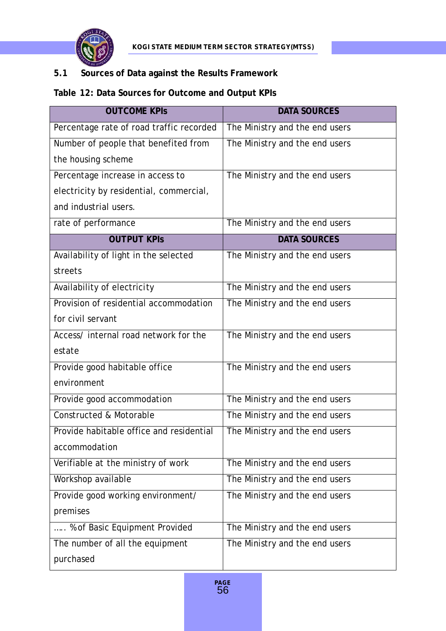

**5.1 Sources of Data against the Results Framework**

## **Table 12: Data Sources for Outcome and Output KPIs**

| <b>OUTCOME KPIS</b>                      | <b>DATA SOURCES</b>            |
|------------------------------------------|--------------------------------|
| Percentage rate of road traffic recorded | The Ministry and the end users |
| Number of people that benefited from     | The Ministry and the end users |
| the housing scheme                       |                                |
| Percentage increase in access to         | The Ministry and the end users |
| electricity by residential, commercial,  |                                |
| and industrial users.                    |                                |
| rate of performance                      | The Ministry and the end users |
| <b>OUTPUT KPIS</b>                       | <b>DATA SOURCES</b>            |
| Availability of light in the selected    | The Ministry and the end users |
| streets                                  |                                |
| Availability of electricity              | The Ministry and the end users |
| Provision of residential accommodation   | The Ministry and the end users |
| for civil servant                        |                                |
| Access/ internal road network for the    | The Ministry and the end users |
| estate                                   |                                |
| Provide good habitable office            | The Ministry and the end users |
| environment                              |                                |
| Provide good accommodation               | The Ministry and the end users |
| <b>Constructed &amp; Motorable</b>       | The Ministry and the end users |
| Provide habitable office and residential | The Ministry and the end users |
| accommodation                            |                                |
| Verifiable at the ministry of work       | The Ministry and the end users |
| Workshop available                       | The Ministry and the end users |
| Provide good working environment/        | The Ministry and the end users |
| premises                                 |                                |
| % of Basic Equipment Provided            | The Ministry and the end users |
| The number of all the equipment          | The Ministry and the end users |
| purchased                                |                                |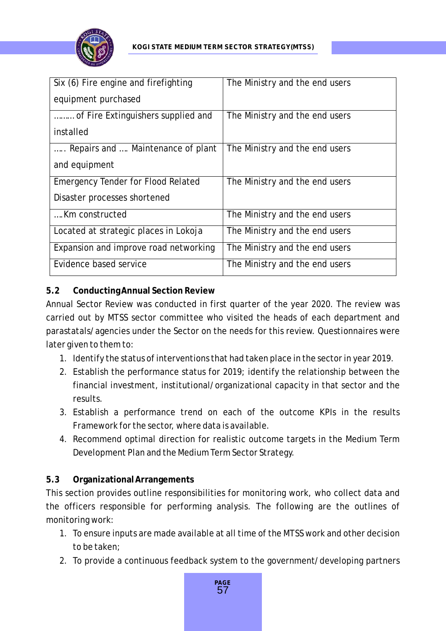

| Six (6) Fire engine and firefighting  | The Ministry and the end users |
|---------------------------------------|--------------------------------|
| equipment purchased                   |                                |
| of Fire Extinguishers supplied and    | The Ministry and the end users |
| installed                             |                                |
| Repairs and  Maintenance of plant     | The Ministry and the end users |
| and equipment                         |                                |
| Emergency Tender for Flood Related    | The Ministry and the end users |
| Disaster processes shortened          |                                |
| Km constructed                        | The Ministry and the end users |
| Located at strategic places in Lokoja | The Ministry and the end users |
| Expansion and improve road networking | The Ministry and the end users |
| Evidence based service                | The Ministry and the end users |

## **5.2 Conducting Annual Section Review**

Annual Sector Review was conducted in first quarter of the year 2020. The review was carried out by MTSS sector committee who visited the heads of each department and parastatals/agencies under the Sector on the needs for this review. Questionnaires were later given to them to:

- 1. Identify the status of interventions that had taken place in the sector in year 2019.
- 2. Establish the performance status for 2019; identify the relationship between the financial investment, institutional/organizational capacity in that sector and the results.
- 3. Establish a performance trend on each of the outcome KPIs in the results Framework for the sector, where data is available.
- 4. Recommend optimal direction for realistic outcome targets in the Medium Term Development Plan and the Medium Term Sector Strategy.

## **5.3 Organizational Arrangements**

This section provides outline responsibilities for monitoring work, who collect data and the officers responsible for performing analysis. The following are the outlines of monitoring work:

- 1. To ensure inputs are made available at all time of the MTSS work and other decision to be taken;
- 2. To provide a continuous feedback system to the government/developing partners

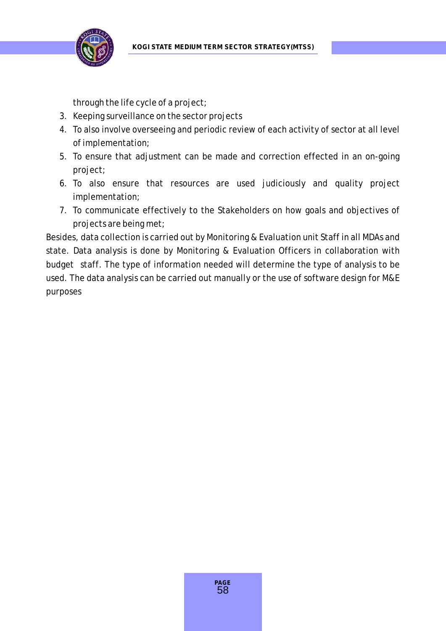

through the life cycle of a project;

- 3. Keeping surveillance on the sector projects
- 4. To also involve overseeing and periodic review of each activity of sector at all level of implementation;
- 5. To ensure that adjustment can be made and correction effected in an on-going project;
- 6. To also ensure that resources are used judiciously and quality project implementation;
- 7. To communicate effectively to the Stakeholders on how goals and objectives of projects are being met;

Besides, data collection is carried out by Monitoring & Evaluation unit Staff in all MDAs and state. Data analysis is done by Monitoring & Evaluation Officers in collaboration with budget staff. The type of information needed will determine the type of analysis to be used. The data analysis can be carried out manually or the use of software design for M&E purposes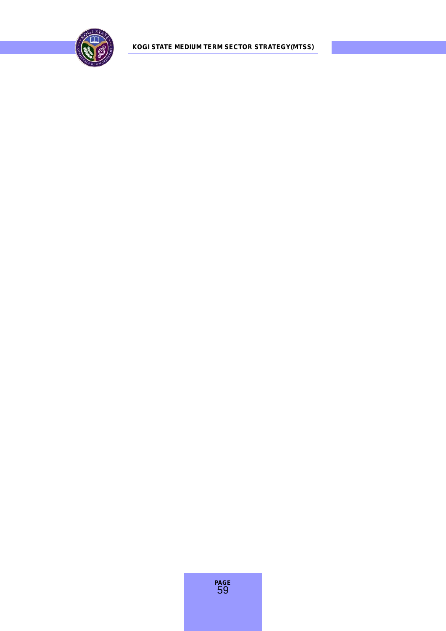